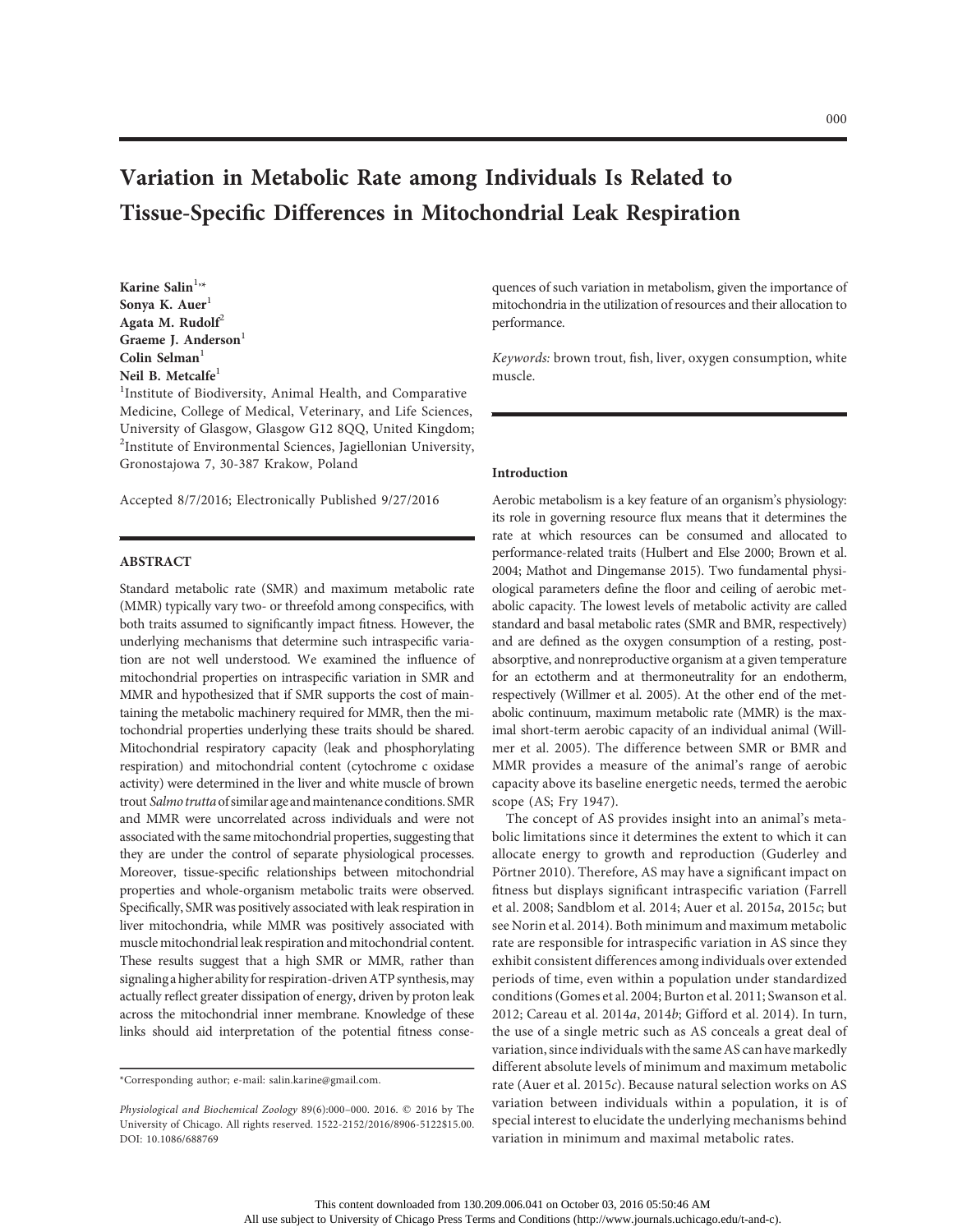# Variation in Metabolic Rate among Individuals Is Related to Tissue-Specific Differences in Mitochondrial Leak Respiration

Karine Salin $^{1,\star}$ Sonya K. Auer<sup>1</sup> Agata M. Rudolf $2$ Graeme J. Anderson<sup>1</sup> Colin Selman $1$ Neil B. Metcalfe<sup>1</sup>

<sup>1</sup>Institute of Biodiversity, Animal Health, and Comparative Medicine, College of Medical, Veterinary, and Life Sciences, University of Glasgow, Glasgow G12 8QQ, United Kingdom; <sup>2</sup>Institute of Environmental Sciences, Jagiellonian University, Gronostajowa 7, 30-387 Krakow, Poland

Accepted 8/7/2016; Electronically Published 9/27/2016

# ABSTRACT

Standard metabolic rate (SMR) and maximum metabolic rate (MMR) typically vary two- or threefold among conspecifics, with both traits assumed to significantly impact fitness. However, the underlying mechanisms that determine such intraspecific variation are not well understood. We examined the influence of mitochondrial properties on intraspecific variation in SMR and MMR and hypothesized that if SMR supports the cost of maintaining the metabolic machinery required for MMR, then the mitochondrial properties underlying these traits should be shared. Mitochondrial respiratory capacity (leak and phosphorylating respiration) and mitochondrial content (cytochrome c oxidase activity) were determined in the liver and white muscle of brown trout Salmo trutta of similar age and maintenance conditions. SMR and MMR were uncorrelated across individuals and were not associated with the same mitochondrial properties, suggesting that they are under the control of separate physiological processes. Moreover, tissue-specific relationships between mitochondrial properties and whole-organism metabolic traits were observed. Specifically, SMR was positively associated with leak respiration in liver mitochondria, while MMR was positively associated with muscle mitochondrial leak respiration and mitochondrial content. These results suggest that a high SMR or MMR, rather than signaling a higher ability for respiration-driven ATP synthesis, may actually reflect greater dissipation of energy, driven by proton leak across the mitochondrial inner membrane. Knowledge of these links should aid interpretation of the potential fitness consequences of such variation in metabolism, given the importance of mitochondria in the utilization of resources and their allocation to performance.

Keywords: brown trout, fish, liver, oxygen consumption, white muscle.

## Introduction

Aerobic metabolism is a key feature of an organism's physiology: its role in governing resource flux means that it determines the rate at which resources can be consumed and allocated to performance-related traits (Hulbert and Else 2000; Brown et al. 2004; Mathot and Dingemanse 2015). Two fundamental physiological parameters define the floor and ceiling of aerobic metabolic capacity. The lowest levels of metabolic activity are called standard and basal metabolic rates (SMR and BMR, respectively) and are defined as the oxygen consumption of a resting, postabsorptive, and nonreproductive organism at a given temperature for an ectotherm and at thermoneutrality for an endotherm, respectively (Willmer et al. 2005). At the other end of the metabolic continuum, maximum metabolic rate (MMR) is the maximal short-term aerobic capacity of an individual animal (Willmer et al. 2005). The difference between SMR or BMR and MMR provides a measure of the animal's range of aerobic capacity above its baseline energetic needs, termed the aerobic scope (AS; Fry 1947).

The concept of AS provides insight into an animal's metabolic limitations since it determines the extent to which it can allocate energy to growth and reproduction (Guderley and Pörtner 2010). Therefore, AS may have a significant impact on fitness but displays significant intraspecific variation (Farrell et al. 2008; Sandblom et al. 2014; Auer et al. 2015a, 2015c; but see Norin et al. 2014). Both minimum and maximum metabolic rate are responsible for intraspecific variation in AS since they exhibit consistent differences among individuals over extended periods of time, even within a population under standardized conditions (Gomes et al. 2004; Burton et al. 2011; Swanson et al. 2012; Careau et al. 2014a, 2014b; Gifford et al. 2014). In turn, the use of a single metric such as AS conceals a great deal of variation, since individuals with the same AS can have markedly different absolute levels of minimum and maximum metabolic rate (Auer et al. 2015c). Because natural selection works on AS variation between individuals within a population, it is of special interest to elucidate the underlying mechanisms behind variation in minimum and maximal metabolic rates.

<sup>\*</sup>Corresponding author; e-mail: salin.karine@gmail.com.

Physiological and Biochemical Zoology 89(6):000-000. 2016.  $©$  2016 by The University of Chicago. All rights reserved. 1522-2152/2016/8906-5122\$15.00. DOI: 10.1086/688769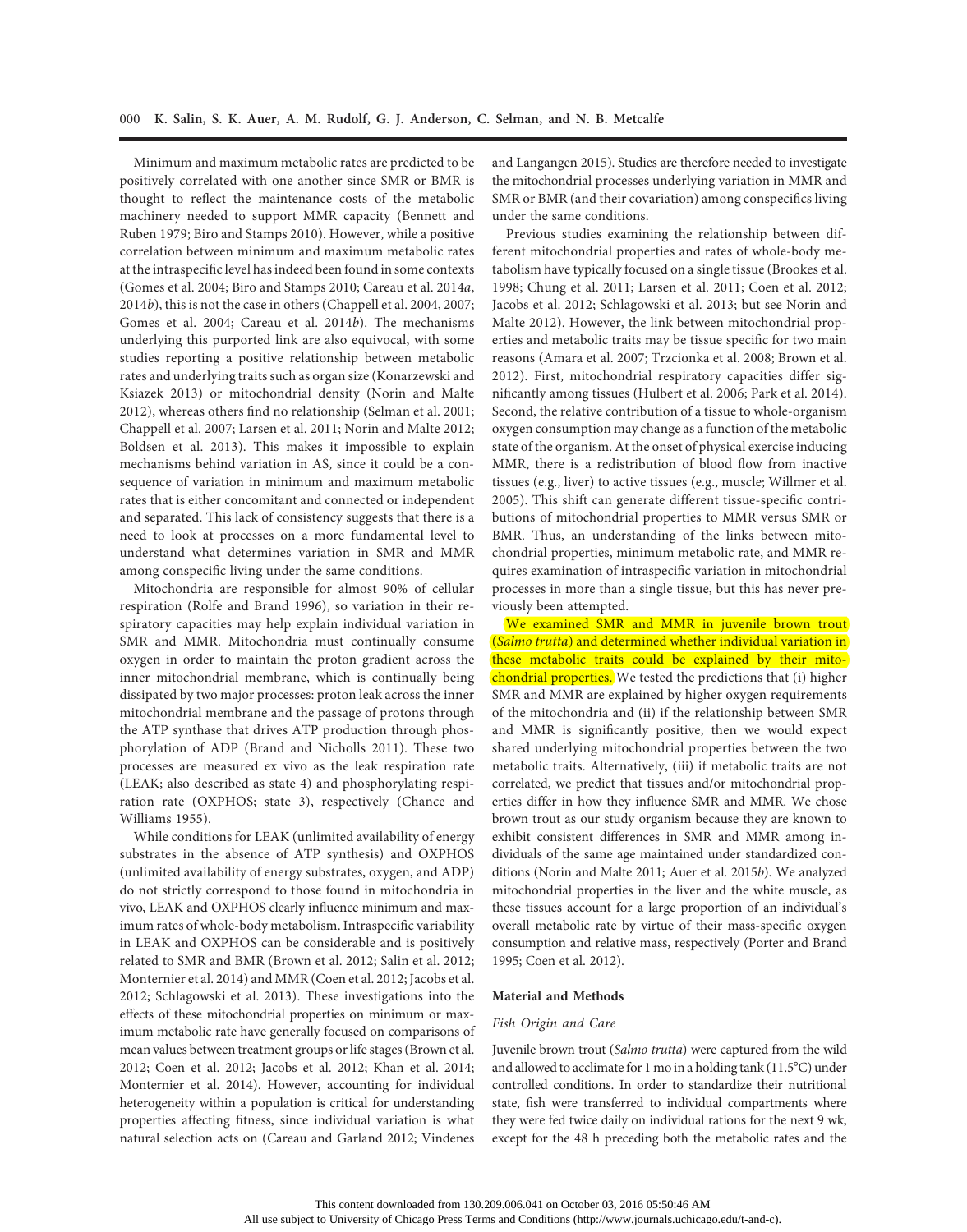Minimum and maximum metabolic rates are predicted to be positively correlated with one another since SMR or BMR is thought to reflect the maintenance costs of the metabolic machinery needed to support MMR capacity (Bennett and Ruben 1979; Biro and Stamps 2010). However, while a positive correlation between minimum and maximum metabolic rates at the intraspecific level has indeed been found in some contexts (Gomes et al. 2004; Biro and Stamps 2010; Careau et al. 2014a, 2014b), this is not the case in others (Chappell et al. 2004, 2007; Gomes et al. 2004; Careau et al. 2014b). The mechanisms underlying this purported link are also equivocal, with some studies reporting a positive relationship between metabolic rates and underlying traits such as organ size (Konarzewski and Ksiazek 2013) or mitochondrial density (Norin and Malte 2012), whereas others find no relationship (Selman et al. 2001; Chappell et al. 2007; Larsen et al. 2011; Norin and Malte 2012; Boldsen et al. 2013). This makes it impossible to explain mechanisms behind variation in AS, since it could be a consequence of variation in minimum and maximum metabolic rates that is either concomitant and connected or independent and separated. This lack of consistency suggests that there is a need to look at processes on a more fundamental level to understand what determines variation in SMR and MMR among conspecific living under the same conditions.

Mitochondria are responsible for almost 90% of cellular respiration (Rolfe and Brand 1996), so variation in their respiratory capacities may help explain individual variation in SMR and MMR. Mitochondria must continually consume oxygen in order to maintain the proton gradient across the inner mitochondrial membrane, which is continually being dissipated by two major processes: proton leak across the inner mitochondrial membrane and the passage of protons through the ATP synthase that drives ATP production through phosphorylation of ADP (Brand and Nicholls 2011). These two processes are measured ex vivo as the leak respiration rate (LEAK; also described as state 4) and phosphorylating respiration rate (OXPHOS; state 3), respectively (Chance and Williams 1955).

While conditions for LEAK (unlimited availability of energy substrates in the absence of ATP synthesis) and OXPHOS (unlimited availability of energy substrates, oxygen, and ADP) do not strictly correspond to those found in mitochondria in vivo, LEAK and OXPHOS clearly influence minimum and maximum rates of whole-body metabolism. Intraspecific variability in LEAK and OXPHOS can be considerable and is positively related to SMR and BMR (Brown et al. 2012; Salin et al. 2012; Monternier et al. 2014) and MMR (Coen et al. 2012; Jacobs et al. 2012; Schlagowski et al. 2013). These investigations into the effects of these mitochondrial properties on minimum or maximum metabolic rate have generally focused on comparisons of mean values between treatment groups or life stages (Brown et al. 2012; Coen et al. 2012; Jacobs et al. 2012; Khan et al. 2014; Monternier et al. 2014). However, accounting for individual heterogeneity within a population is critical for understanding properties affecting fitness, since individual variation is what natural selection acts on (Careau and Garland 2012; Vindenes

and Langangen 2015). Studies are therefore needed to investigate the mitochondrial processes underlying variation in MMR and SMR or BMR (and their covariation) among conspecifics living under the same conditions.

Previous studies examining the relationship between different mitochondrial properties and rates of whole-body metabolism have typically focused on a single tissue (Brookes et al. 1998; Chung et al. 2011; Larsen et al. 2011; Coen et al. 2012; Jacobs et al. 2012; Schlagowski et al. 2013; but see Norin and Malte 2012). However, the link between mitochondrial properties and metabolic traits may be tissue specific for two main reasons (Amara et al. 2007; Trzcionka et al. 2008; Brown et al. 2012). First, mitochondrial respiratory capacities differ significantly among tissues (Hulbert et al. 2006; Park et al. 2014). Second, the relative contribution of a tissue to whole-organism oxygen consumption may change as a function of the metabolic state of the organism. At the onset of physical exercise inducing MMR, there is a redistribution of blood flow from inactive tissues (e.g., liver) to active tissues (e.g., muscle; Willmer et al. 2005). This shift can generate different tissue-specific contributions of mitochondrial properties to MMR versus SMR or BMR. Thus, an understanding of the links between mitochondrial properties, minimum metabolic rate, and MMR requires examination of intraspecific variation in mitochondrial processes in more than a single tissue, but this has never previously been attempted.

We examined SMR and MMR in juvenile brown trout (Salmo trutta) and determined whether individual variation in these metabolic traits could be explained by their mitochondrial properties. We tested the predictions that (i) higher SMR and MMR are explained by higher oxygen requirements of the mitochondria and (ii) if the relationship between SMR and MMR is significantly positive, then we would expect shared underlying mitochondrial properties between the two metabolic traits. Alternatively, (iii) if metabolic traits are not correlated, we predict that tissues and/or mitochondrial properties differ in how they influence SMR and MMR. We chose brown trout as our study organism because they are known to exhibit consistent differences in SMR and MMR among individuals of the same age maintained under standardized conditions (Norin and Malte 2011; Auer et al. 2015b). We analyzed mitochondrial properties in the liver and the white muscle, as these tissues account for a large proportion of an individual's overall metabolic rate by virtue of their mass-specific oxygen consumption and relative mass, respectively (Porter and Brand 1995; Coen et al. 2012).

#### Material and Methods

#### Fish Origin and Care

Juvenile brown trout (Salmo trutta) were captured from the wild and allowed to acclimate for 1 mo in a holding tank  $(11.5^{\circ}C)$  under controlled conditions. In order to standardize their nutritional state, fish were transferred to individual compartments where they were fed twice daily on individual rations for the next 9 wk, except for the 48 h preceding both the metabolic rates and the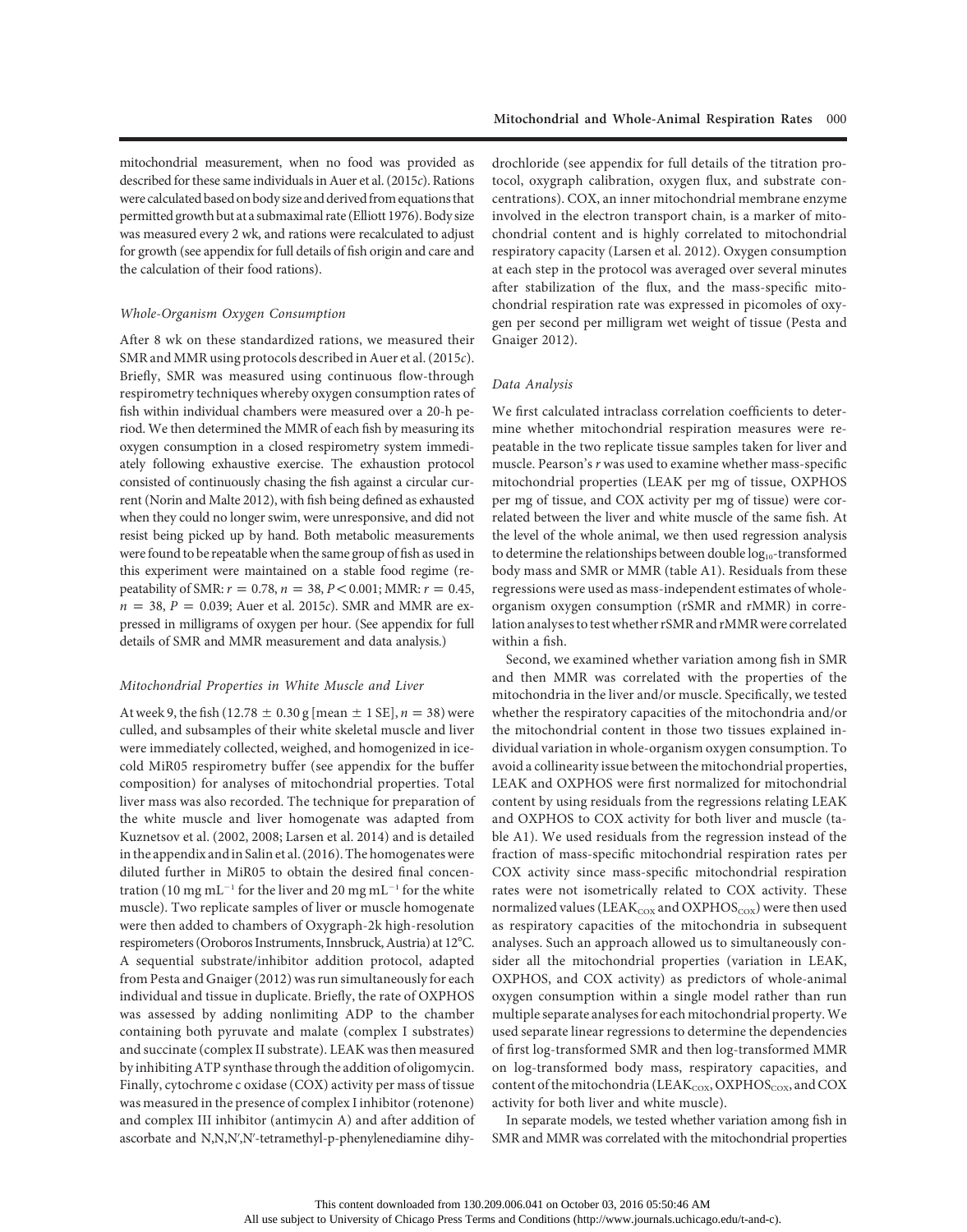mitochondrial measurement, when no food was provided as described for these same individuals in Auer et al. (2015c). Rations were calculated based on body size and derived from equations that permitted growth but at a submaximal rate (Elliott 1976). Body size was measured every 2 wk, and rations were recalculated to adjust for growth (see appendix for full details of fish origin and care and the calculation of their food rations).

# Whole-Organism Oxygen Consumption

After 8 wk on these standardized rations, we measured their SMR and MMR using protocols described in Auer et al. (2015c). Briefly, SMR was measured using continuous flow-through respirometry techniques whereby oxygen consumption rates of fish within individual chambers were measured over a 20-h period. We then determined the MMR of each fish by measuring its oxygen consumption in a closed respirometry system immediately following exhaustive exercise. The exhaustion protocol consisted of continuously chasing the fish against a circular current (Norin and Malte 2012), with fish being defined as exhausted when they could no longer swim, were unresponsive, and did not resist being picked up by hand. Both metabolic measurements were found to be repeatable when the same group of fish as used in this experiment were maintained on a stable food regime (repeatability of SMR:  $r = 0.78$ ,  $n = 38$ ,  $P < 0.001$ ; MMR:  $r = 0.45$ ,  $n = 38$ ,  $P = 0.039$ ; Auer et al. 2015c). SMR and MMR are expressed in milligrams of oxygen per hour. (See appendix for full details of SMR and MMR measurement and data analysis.)

## Mitochondrial Properties in White Muscle and Liver

At week 9, the fish (12.78  $\pm$  0.30 g [mean  $\pm$  1 SE], n = 38) were culled, and subsamples of their white skeletal muscle and liver were immediately collected, weighed, and homogenized in icecold MiR05 respirometry buffer (see appendix for the buffer composition) for analyses of mitochondrial properties. Total liver mass was also recorded. The technique for preparation of the white muscle and liver homogenate was adapted from Kuznetsov et al. (2002, 2008; Larsen et al. 2014) and is detailed in the appendix and in Salin et al. (2016). The homogenates were diluted further in MiR05 to obtain the desired final concentration (10 mg mL<sup>-1</sup> for the liver and 20 mg mL<sup>-1</sup> for the white muscle). Two replicate samples of liver or muscle homogenate were then added to chambers of Oxygraph-2k high-resolution respirometers (Oroboros Instruments, Innsbruck, Austria) at 12°C. A sequential substrate/inhibitor addition protocol, adapted from Pesta and Gnaiger (2012) was run simultaneously for each individual and tissue in duplicate. Briefly, the rate of OXPHOS was assessed by adding nonlimiting ADP to the chamber containing both pyruvate and malate (complex I substrates) and succinate (complex II substrate). LEAK was then measured by inhibiting ATP synthase through the addition of oligomycin. Finally, cytochrome c oxidase (COX) activity per mass of tissue was measured in the presence of complex I inhibitor (rotenone) and complex III inhibitor (antimycin A) and after addition of ascorbate and N,N,N',N'-tetramethyl-p-phenylenediamine dihydrochloride (see appendix for full details of the titration protocol, oxygraph calibration, oxygen flux, and substrate concentrations). COX, an inner mitochondrial membrane enzyme involved in the electron transport chain, is a marker of mitochondrial content and is highly correlated to mitochondrial respiratory capacity (Larsen et al. 2012). Oxygen consumption at each step in the protocol was averaged over several minutes after stabilization of the flux, and the mass-specific mitochondrial respiration rate was expressed in picomoles of oxygen per second per milligram wet weight of tissue (Pesta and Gnaiger 2012).

## Data Analysis

We first calculated intraclass correlation coefficients to determine whether mitochondrial respiration measures were repeatable in the two replicate tissue samples taken for liver and muscle. Pearson's r was used to examine whether mass-specific mitochondrial properties (LEAK per mg of tissue, OXPHOS per mg of tissue, and COX activity per mg of tissue) were correlated between the liver and white muscle of the same fish. At the level of the whole animal, we then used regression analysis to determine the relationships between double log<sub>10</sub>-transformed body mass and SMR or MMR (table A1). Residuals from these regressions were used as mass-independent estimates of wholeorganism oxygen consumption (rSMR and rMMR) in correlation analyses to test whether rSMR and rMMR were correlated within a fish.

Second, we examined whether variation among fish in SMR and then MMR was correlated with the properties of the mitochondria in the liver and/or muscle. Specifically, we tested whether the respiratory capacities of the mitochondria and/or the mitochondrial content in those two tissues explained individual variation in whole-organism oxygen consumption. To avoid a collinearity issue between the mitochondrial properties, LEAK and OXPHOS were first normalized for mitochondrial content by using residuals from the regressions relating LEAK and OXPHOS to COX activity for both liver and muscle (table A1). We used residuals from the regression instead of the fraction of mass-specific mitochondrial respiration rates per COX activity since mass-specific mitochondrial respiration rates were not isometrically related to COX activity. These normalized values (LEAK<sub>COX</sub> and OXPHOS<sub>COX</sub>) were then used as respiratory capacities of the mitochondria in subsequent analyses. Such an approach allowed us to simultaneously consider all the mitochondrial properties (variation in LEAK, OXPHOS, and COX activity) as predictors of whole-animal oxygen consumption within a single model rather than run multiple separate analyses for each mitochondrial property.We used separate linear regressions to determine the dependencies of first log-transformed SMR and then log-transformed MMR on log-transformed body mass, respiratory capacities, and content of the mitochondria (LEAK<sub>COX</sub>, OXPHOS<sub>COX</sub>, and COX activity for both liver and white muscle).

In separate models, we tested whether variation among fish in SMR and MMR was correlated with the mitochondrial properties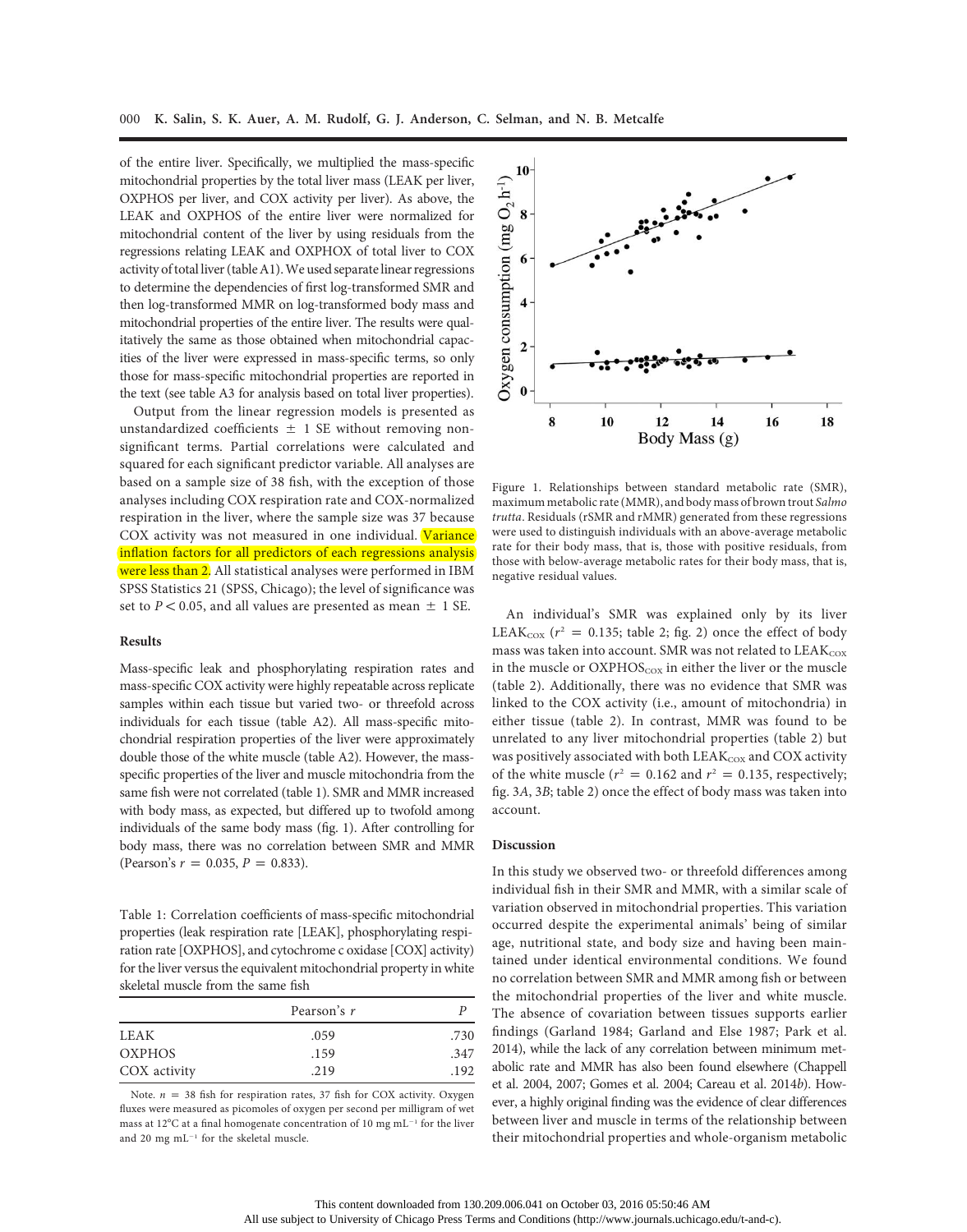of the entire liver. Specifically, we multiplied the mass-specific mitochondrial properties by the total liver mass (LEAK per liver, OXPHOS per liver, and COX activity per liver). As above, the LEAK and OXPHOS of the entire liver were normalized for mitochondrial content of the liver by using residuals from the regressions relating LEAK and OXPHOX of total liver to COX activity of total liver (tableA1).We used separate linear regressions to determine the dependencies of first log-transformed SMR and then log-transformed MMR on log-transformed body mass and mitochondrial properties of the entire liver. The results were qualitatively the same as those obtained when mitochondrial capacities of the liver were expressed in mass-specific terms, so only those for mass-specific mitochondrial properties are reported in the text (see table A3 for analysis based on total liver properties).

Output from the linear regression models is presented as unstandardized coefficients  $\pm$  1 SE without removing nonsignificant terms. Partial correlations were calculated and squared for each significant predictor variable. All analyses are based on a sample size of 38 fish, with the exception of those analyses including COX respiration rate and COX-normalized respiration in the liver, where the sample size was 37 because COX activity was not measured in one individual. Variance inflation factors for all predictors of each regressions analysis were less than 2. All statistical analyses were performed in IBM SPSS Statistics 21 (SPSS, Chicago); the level of significance was set to  $P < 0.05$ , and all values are presented as mean  $\pm$  1 SE.

### Results

Mass-specific leak and phosphorylating respiration rates and mass-specific COX activity were highly repeatable across replicate samples within each tissue but varied two- or threefold across individuals for each tissue (table A2). All mass-specific mitochondrial respiration properties of the liver were approximately double those of the white muscle (table A2). However, the massspecific properties of the liver and muscle mitochondria from the same fish were not correlated (table 1). SMR and MMR increased with body mass, as expected, but differed up to twofold among individuals of the same body mass (fig. 1). After controlling for body mass, there was no correlation between SMR and MMR (Pearson's  $r = 0.035$ ,  $P = 0.833$ ).

Table 1: Correlation coefficients of mass-specific mitochondrial properties (leak respiration rate [LEAK], phosphorylating respiration rate [OXPHOS], and cytochrome c oxidase [COX] activity) for the liver versus the equivalent mitochondrial property in white skeletal muscle from the same fish

|               | Pearson's r |      |
|---------------|-------------|------|
| <b>LEAK</b>   | .059        | .730 |
| <b>OXPHOS</b> | .159        | .347 |
| COX activity  | .219        | .192 |

Note.  $n = 38$  fish for respiration rates, 37 fish for COX activity. Oxygen fluxes were measured as picomoles of oxygen per second per milligram of wet mass at 12°C at a final homogenate concentration of 10 mg  $mL^{-1}$  for the liver and 20 mg  $\mathrm{mL^{-1}}$  for the skeletal muscle.



Figure 1. Relationships between standard metabolic rate (SMR), maximum metabolic rate (MMR), and body mass of brown trout Salmo trutta. Residuals (rSMR and rMMR) generated from these regressions were used to distinguish individuals with an above-average metabolic rate for their body mass, that is, those with positive residuals, from those with below-average metabolic rates for their body mass, that is, negative residual values.

An individual's SMR was explained only by its liver LEAK<sub>cox</sub> ( $r^2$  = 0.135; table 2; fig. 2) once the effect of body mass was taken into account. SMR was not related to  $LEAK_{\rm cov}$ in the muscle or  $OXPHOS<sub>coX</sub>$  in either the liver or the muscle (table 2). Additionally, there was no evidence that SMR was linked to the COX activity (i.e., amount of mitochondria) in either tissue (table 2). In contrast, MMR was found to be unrelated to any liver mitochondrial properties (table 2) but was positively associated with both LEAK<sub>COX</sub> and COX activity of the white muscle ( $r^2 = 0.162$  and  $r^2 = 0.135$ , respectively; fig. 3A, 3B; table 2) once the effect of body mass was taken into account.

#### Discussion

In this study we observed two- or threefold differences among individual fish in their SMR and MMR, with a similar scale of variation observed in mitochondrial properties. This variation occurred despite the experimental animals' being of similar age, nutritional state, and body size and having been maintained under identical environmental conditions. We found no correlation between SMR and MMR among fish or between the mitochondrial properties of the liver and white muscle. The absence of covariation between tissues supports earlier findings (Garland 1984; Garland and Else 1987; Park et al. 2014), while the lack of any correlation between minimum metabolic rate and MMR has also been found elsewhere (Chappell et al. 2004, 2007; Gomes et al. 2004; Careau et al. 2014b). However, a highly original finding was the evidence of clear differences between liver and muscle in terms of the relationship between their mitochondrial properties and whole-organism metabolic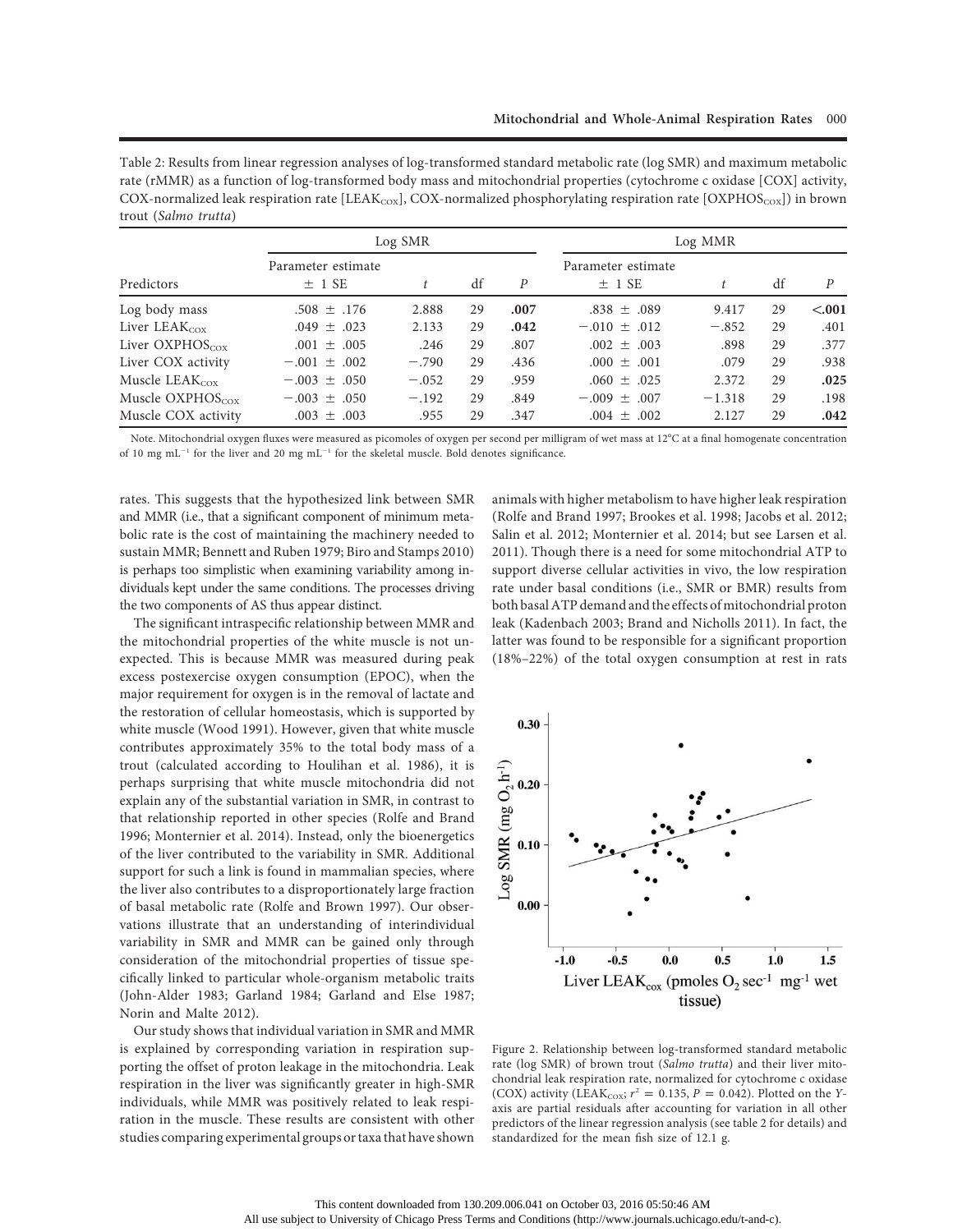Table 2: Results from linear regression analyses of log-transformed standard metabolic rate (log SMR) and maximum metabolic rate (rMMR) as a function of log-transformed body mass and mitochondrial properties (cytochrome c oxidase [COX] activity, COX-normalized leak respiration rate [LEAK<sub>COX</sub>], COX-normalized phosphorylating respiration rate [OXPHOS<sub>COX</sub>]) in brown trout (Salmo trutta)

|                            |                                  | Log SMR |    |                  |                                  | Log MMR  |    |        |
|----------------------------|----------------------------------|---------|----|------------------|----------------------------------|----------|----|--------|
| Predictors                 | Parameter estimate<br>$\pm$ 1 SE | t       | df | $\boldsymbol{P}$ | Parameter estimate<br>$\pm$ 1 SE |          | df | P      |
| Log body mass              | $.508 \pm .176$                  | 2.888   | 29 | .007             | $.838 \pm .089$                  | 9.417    | 29 | < .001 |
| Liver $LEAK_{\rm cov}$     | $.049 \pm .023$                  | 2.133   | 29 | .042             | $-.010 \pm .012$                 | $-.852$  | 29 | .401   |
| Liver $OXPHOScox$          | $.001 \pm .005$                  | .246    | 29 | .807             | $.002 \pm .003$                  | .898     | 29 | .377   |
| Liver COX activity         | $-.001 \pm .002$                 | $-.790$ | 29 | .436             | $.000 \pm .001$                  | .079     | 29 | .938   |
| Muscle LEA $K_{\rm cov}$   | $-.003 \pm .050$                 | $-.052$ | 29 | .959             | $.060 \pm .025$                  | 2.372    | 29 | .025   |
| Muscle OXPHOS $_{\rm cov}$ | $-.003 \pm .050$                 | $-.192$ | 29 | .849             | $-.009 \pm .007$                 | $-1.318$ | 29 | .198   |
| Muscle COX activity        | $.003 \pm .003$                  | .955    | 29 | .347             | $.004 \pm .002$                  | 2.127    | 29 | .042   |

Note. Mitochondrial oxygen fluxes were measured as picomoles of oxygen per second per milligram of wet mass at 12°C at a final homogenate concentration of 10 mg mL<sup>-1</sup> for the liver and 20 mg mL<sup>-1</sup> for the skeletal muscle. Bold denotes significance.

rates. This suggests that the hypothesized link between SMR and MMR (i.e., that a significant component of minimum metabolic rate is the cost of maintaining the machinery needed to sustain MMR; Bennett and Ruben 1979; Biro and Stamps 2010) is perhaps too simplistic when examining variability among individuals kept under the same conditions. The processes driving the two components of AS thus appear distinct.

The significant intraspecific relationship between MMR and the mitochondrial properties of the white muscle is not unexpected. This is because MMR was measured during peak excess postexercise oxygen consumption (EPOC), when the major requirement for oxygen is in the removal of lactate and the restoration of cellular homeostasis, which is supported by white muscle (Wood 1991). However, given that white muscle contributes approximately 35% to the total body mass of a trout (calculated according to Houlihan et al. 1986), it is perhaps surprising that white muscle mitochondria did not explain any of the substantial variation in SMR, in contrast to that relationship reported in other species (Rolfe and Brand 1996; Monternier et al. 2014). Instead, only the bioenergetics of the liver contributed to the variability in SMR. Additional support for such a link is found in mammalian species, where the liver also contributes to a disproportionately large fraction of basal metabolic rate (Rolfe and Brown 1997). Our observations illustrate that an understanding of interindividual variability in SMR and MMR can be gained only through consideration of the mitochondrial properties of tissue specifically linked to particular whole-organism metabolic traits (John-Alder 1983; Garland 1984; Garland and Else 1987; Norin and Malte 2012).

Our study shows that individual variation in SMR and MMR is explained by corresponding variation in respiration supporting the offset of proton leakage in the mitochondria. Leak respiration in the liver was significantly greater in high-SMR individuals, while MMR was positively related to leak respiration in the muscle. These results are consistent with other studies comparing experimental groups or taxa that have shown

animals with higher metabolism to have higher leak respiration (Rolfe and Brand 1997; Brookes et al. 1998; Jacobs et al. 2012; Salin et al. 2012; Monternier et al. 2014; but see Larsen et al. 2011). Though there is a need for some mitochondrial ATP to support diverse cellular activities in vivo, the low respiration rate under basal conditions (i.e., SMR or BMR) results from both basalATP demand and the effects of mitochondrial proton leak (Kadenbach 2003; Brand and Nicholls 2011). In fact, the latter was found to be responsible for a significant proportion (18%–22%) of the total oxygen consumption at rest in rats



Figure 2. Relationship between log-transformed standard metabolic rate (log SMR) of brown trout (Salmo trutta) and their liver mitochondrial leak respiration rate, normalized for cytochrome c oxidase (COX) activity (LEAK<sub>COX</sub>;  $r^2 = 0.135$ ,  $P = 0.042$ ). Plotted on the Yaxis are partial residuals after accounting for variation in all other predictors of the linear regression analysis (see table 2 for details) and standardized for the mean fish size of 12.1 g.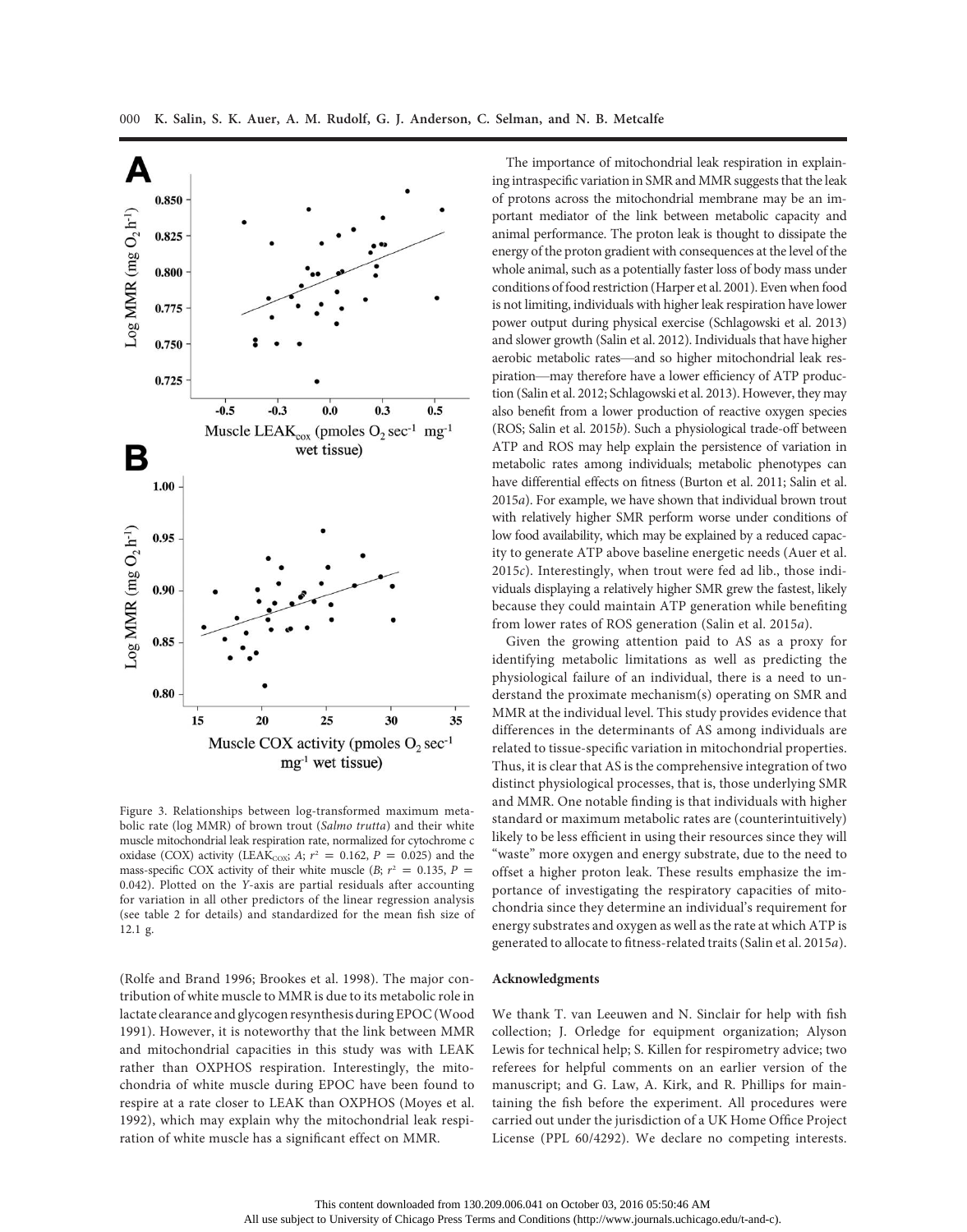

Figure 3. Relationships between log-transformed maximum metabolic rate (log MMR) of brown trout (Salmo trutta) and their white muscle mitochondrial leak respiration rate, normalized for cytochrome c oxidase (COX) activity (LEAK<sub>COX</sub>; A;  $r^2 = 0.162$ ,  $P = 0.025$ ) and the mass-specific COX activity of their white muscle (B;  $r^2 = 0.135$ , P = 0.042). Plotted on the Y-axis are partial residuals after accounting for variation in all other predictors of the linear regression analysis (see table 2 for details) and standardized for the mean fish size of 12.1 g.

(Rolfe and Brand 1996; Brookes et al. 1998). The major contribution of white muscle to MMR is due to its metabolic role in lactate clearance and glycogen resynthesis during EPOC (Wood 1991). However, it is noteworthy that the link between MMR and mitochondrial capacities in this study was with LEAK rather than OXPHOS respiration. Interestingly, the mitochondria of white muscle during EPOC have been found to respire at a rate closer to LEAK than OXPHOS (Moyes et al. 1992), which may explain why the mitochondrial leak respiration of white muscle has a significant effect on MMR.

The importance of mitochondrial leak respiration in explaining intraspecific variation in SMR and MMR suggests that the leak of protons across the mitochondrial membrane may be an important mediator of the link between metabolic capacity and animal performance. The proton leak is thought to dissipate the energy of the proton gradient with consequences at the level of the whole animal, such as a potentially faster loss of body mass under conditions of food restriction (Harper et al. 2001). Even when food is not limiting, individuals with higher leak respiration have lower power output during physical exercise (Schlagowski et al. 2013) and slower growth (Salin et al. 2012). Individuals that have higher aerobic metabolic rates—and so higher mitochondrial leak respiration—may therefore have a lower efficiency of ATP production (Salin et al. 2012; Schlagowski et al. 2013). However, they may also benefit from a lower production of reactive oxygen species (ROS; Salin et al. 2015b). Such a physiological trade-off between ATP and ROS may help explain the persistence of variation in metabolic rates among individuals; metabolic phenotypes can have differential effects on fitness (Burton et al. 2011; Salin et al. 2015a). For example, we have shown that individual brown trout with relatively higher SMR perform worse under conditions of low food availability, which may be explained by a reduced capacity to generate ATP above baseline energetic needs (Auer et al. 2015c). Interestingly, when trout were fed ad lib., those individuals displaying a relatively higher SMR grew the fastest, likely because they could maintain ATP generation while benefiting from lower rates of ROS generation (Salin et al. 2015a).

Given the growing attention paid to AS as a proxy for identifying metabolic limitations as well as predicting the physiological failure of an individual, there is a need to understand the proximate mechanism(s) operating on SMR and MMR at the individual level. This study provides evidence that differences in the determinants of AS among individuals are related to tissue-specific variation in mitochondrial properties. Thus, it is clear that AS is the comprehensive integration of two distinct physiological processes, that is, those underlying SMR and MMR. One notable finding is that individuals with higher standard or maximum metabolic rates are (counterintuitively) likely to be less efficient in using their resources since they will "waste" more oxygen and energy substrate, due to the need to offset a higher proton leak. These results emphasize the importance of investigating the respiratory capacities of mitochondria since they determine an individual's requirement for energy substrates and oxygen as well as the rate at which ATP is generated to allocate to fitness-related traits (Salin et al. 2015a).

# Acknowledgments

We thank T. van Leeuwen and N. Sinclair for help with fish collection; J. Orledge for equipment organization; Alyson Lewis for technical help; S. Killen for respirometry advice; two referees for helpful comments on an earlier version of the manuscript; and G. Law, A. Kirk, and R. Phillips for maintaining the fish before the experiment. All procedures were carried out under the jurisdiction of a UK Home Office Project License (PPL 60/4292). We declare no competing interests.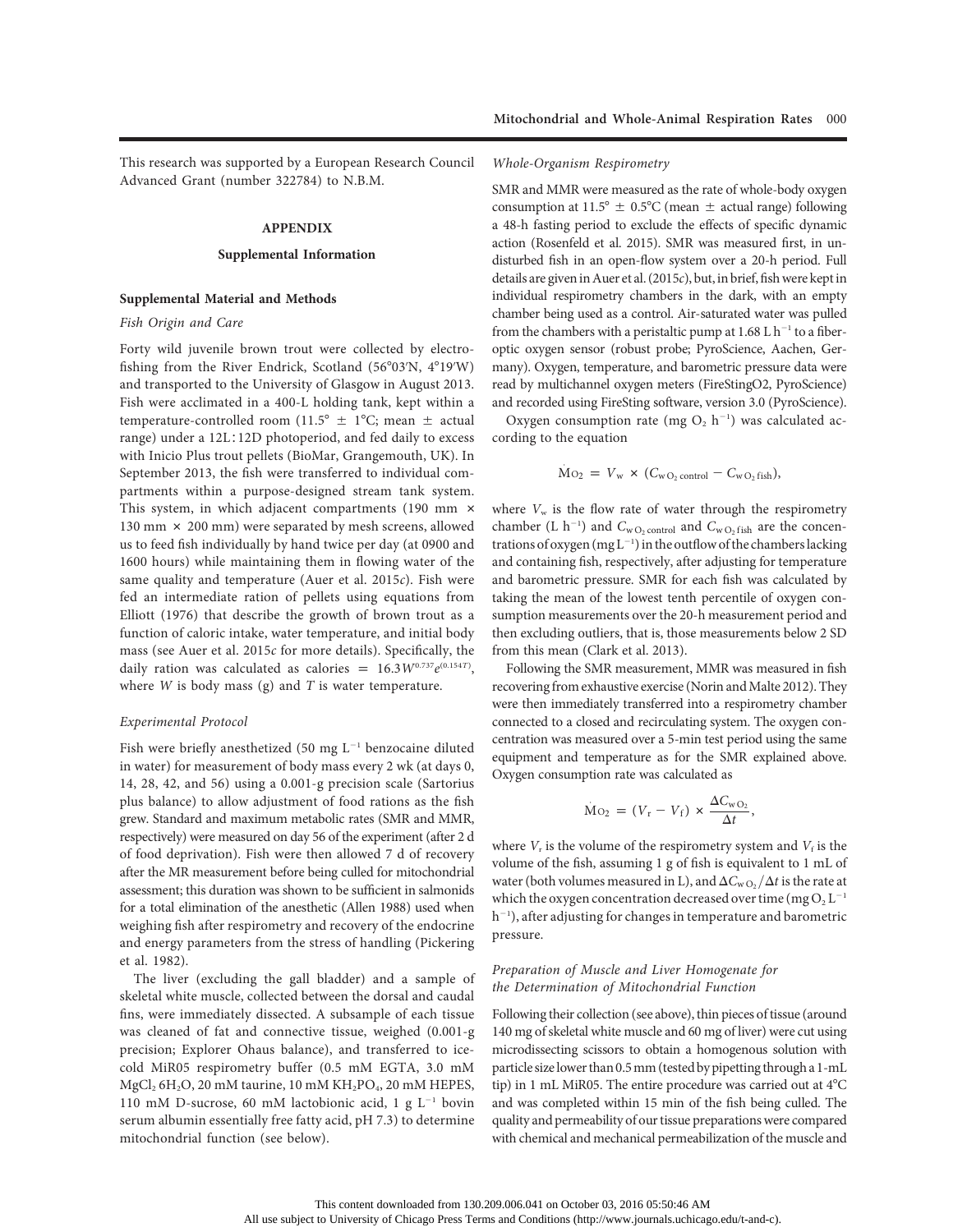This research was supported by a European Research Council Advanced Grant (number 322784) to N.B.M.

#### APPENDIX

#### Supplemental Information

#### Supplemental Material and Methods

#### Fish Origin and Care

Forty wild juvenile brown trout were collected by electrofishing from the River Endrick, Scotland (56°03'N, 4°19'W) and transported to the University of Glasgow in August 2013. Fish were acclimated in a 400-L holding tank, kept within a temperature-controlled room (11.5°  $\pm$  1°C; mean  $\pm$  actual range) under a 12L∶12D photoperiod, and fed daily to excess with Inicio Plus trout pellets (BioMar, Grangemouth, UK). In September 2013, the fish were transferred to individual compartments within a purpose-designed stream tank system. This system, in which adjacent compartments (190 mm  $\times$ 130 mm  $\times$  200 mm) were separated by mesh screens, allowed us to feed fish individually by hand twice per day (at 0900 and 1600 hours) while maintaining them in flowing water of the same quality and temperature (Auer et al. 2015c). Fish were fed an intermediate ration of pellets using equations from Elliott (1976) that describe the growth of brown trout as a function of caloric intake, water temperature, and initial body mass (see Auer et al. 2015c for more details). Specifically, the daily ration was calculated as calories =  $16.3W^{0.737}e^{(0.154T)}$ , where  $W$  is body mass (g) and  $T$  is water temperature.

## Experimental Protocol

Fish were briefly anesthetized (50 mg  $L^{-1}$  benzocaine diluted in water) for measurement of body mass every 2 wk (at days 0, 14, 28, 42, and 56) using a 0.001-g precision scale (Sartorius plus balance) to allow adjustment of food rations as the fish grew. Standard and maximum metabolic rates (SMR and MMR, respectively) were measured on day 56 of the experiment (after 2 d of food deprivation). Fish were then allowed 7 d of recovery after the MR measurement before being culled for mitochondrial assessment; this duration was shown to be sufficient in salmonids for a total elimination of the anesthetic (Allen 1988) used when weighing fish after respirometry and recovery of the endocrine and energy parameters from the stress of handling (Pickering et al. 1982).

The liver (excluding the gall bladder) and a sample of skeletal white muscle, collected between the dorsal and caudal fins, were immediately dissected. A subsample of each tissue was cleaned of fat and connective tissue, weighed (0.001-g precision; Explorer Ohaus balance), and transferred to icecold MiR05 respirometry buffer (0.5 mM EGTA, 3.0 mM  $MgCl<sub>2</sub> 6H<sub>2</sub>O$ , 20 mM taurine, 10 mM  $KH<sub>2</sub>PO<sub>4</sub>$ , 20 mM HEPES, 110 mM D-sucrose, 60 mM lactobionic acid, 1 g  $L^{-1}$  bovin serum albumin essentially free fatty acid, pH 7.3) to determine mitochondrial function (see below).

#### Whole-Organism Respirometry

SMR and MMR were measured as the rate of whole-body oxygen consumption at 11.5°  $\pm$  0.5°C (mean  $\pm$  actual range) following a 48-h fasting period to exclude the effects of specific dynamic action (Rosenfeld et al. 2015). SMR was measured first, in undisturbed fish in an open-flow system over a 20-h period. Full details are given in Auer et al.  $(2015c)$ , but, in brief, fish were kept in individual respirometry chambers in the dark, with an empty chamber being used as a control. Air-saturated water was pulled from the chambers with a peristaltic pump at  $1.68$  L h<sup>-1</sup> to a fiberoptic oxygen sensor (robust probe; PyroScience, Aachen, Germany). Oxygen, temperature, and barometric pressure data were read by multichannel oxygen meters (FireStingO2, PyroScience) and recorded using FireSting software, version 3.0 (PyroScience).

Oxygen consumption rate (mg  $O_2$  h<sup>-1</sup>) was calculated according to the equation

$$
\dot{M}o_2 = V_w \times (C_{wO_2 \text{ control}} - C_{wO_2 \text{ fish}}),
$$

where  $V_w$  is the flow rate of water through the respirometry chamber (L h<sup>-1</sup>) and  $C_{\text{wO}_2 \text{ control}}$  and  $C_{\text{wO}_2 \text{ fish}}$  are the concentrations of oxygen ( $mgL^{-1}$ ) in the outflow of the chambers lacking and containing fish, respectively, after adjusting for temperature and barometric pressure. SMR for each fish was calculated by taking the mean of the lowest tenth percentile of oxygen consumption measurements over the 20-h measurement period and then excluding outliers, that is, those measurements below 2 SD from this mean (Clark et al. 2013).

Following the SMR measurement, MMR was measured in fish recovering from exhaustive exercise (Norin and Malte 2012). They were then immediately transferred into a respirometry chamber connected to a closed and recirculating system. The oxygen concentration was measured over a 5-min test period using the same equipment and temperature as for the SMR explained above. Oxygen consumption rate was calculated as

$$
\dot{M}o_2 = (V_r - V_f) \times \frac{\Delta C_{wO_2}}{\Delta t},
$$

where  $V_r$  is the volume of the respirometry system and  $V_f$  is the volume of the fish, assuming 1 g of fish is equivalent to 1 mL of water (both volumes measured in L), and  $\Delta C_{\rm WO_2}/\Delta t$  is the rate at which the oxygen concentration decreased over time (mg  $O_2 L^{-1}$ h<sup>-1</sup>), after adjusting for changes in temperature and barometric pressure.

# Preparation of Muscle and Liver Homogenate for the Determination of Mitochondrial Function

Following their collection (see above), thin pieces of tissue (around 140 mg of skeletal white muscle and 60 mg of liver) were cut using microdissecting scissors to obtain a homogenous solution with particle size lower than 0.5mm (tested by pipetting through a 1-mL tip) in 1 mL MiR05. The entire procedure was carried out at  $4^{\circ}$ C and was completed within 15 min of the fish being culled. The quality and permeability of our tissue preparations were compared with chemical and mechanical permeabilization of the muscle and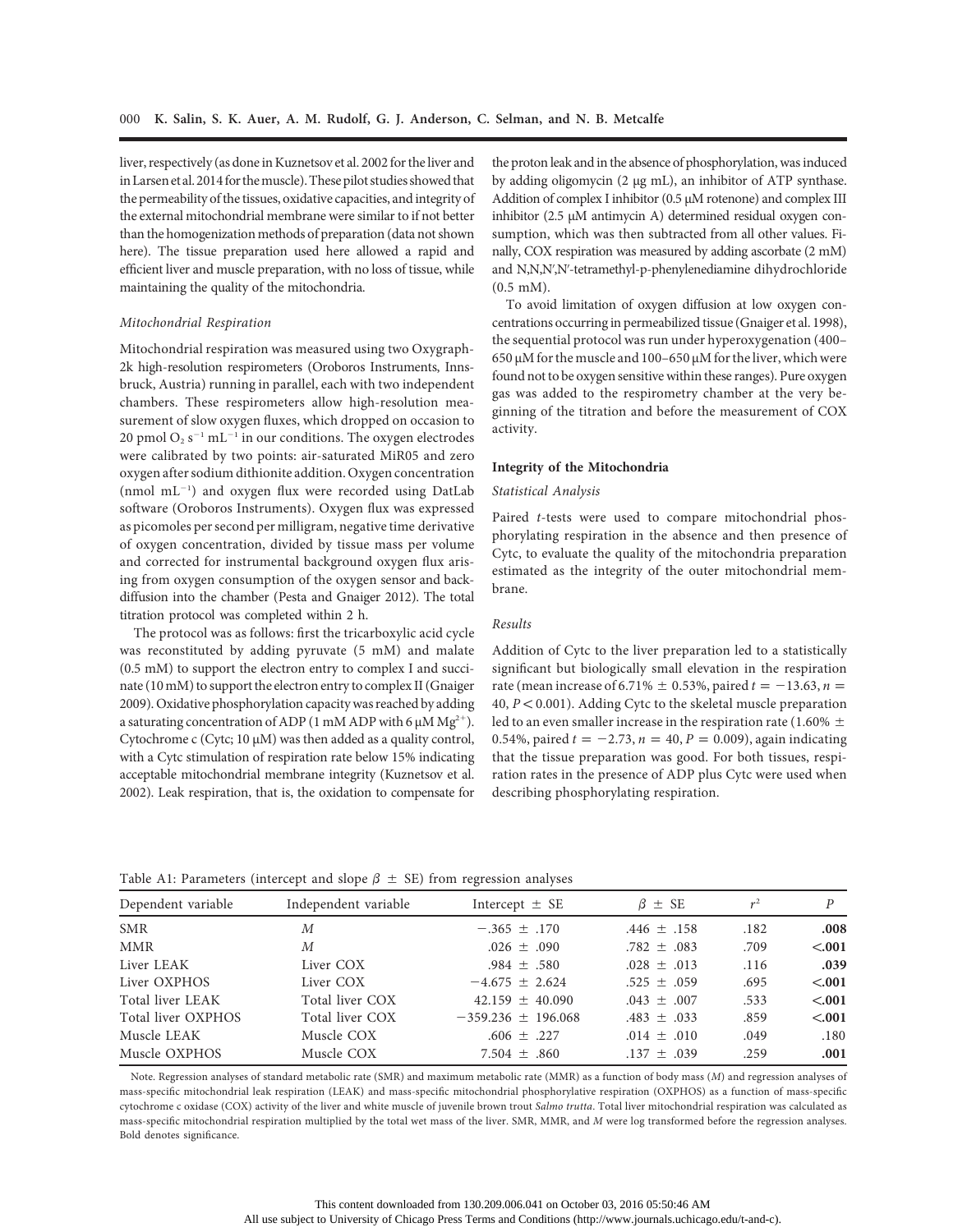liver, respectively (as done in Kuznetsov et al. 2002 for the liver and in Larsen et al. 2014 for the muscle). These pilot studies showed that the permeability of the tissues, oxidative capacities, and integrity of the external mitochondrial membrane were similar to if not better than the homogenization methods of preparation (data not shown here). The tissue preparation used here allowed a rapid and efficient liver and muscle preparation, with no loss of tissue, while maintaining the quality of the mitochondria.

#### Mitochondrial Respiration

Mitochondrial respiration was measured using two Oxygraph-2k high-resolution respirometers (Oroboros Instruments, Innsbruck, Austria) running in parallel, each with two independent chambers. These respirometers allow high-resolution measurement of slow oxygen fluxes, which dropped on occasion to 20 pmol  $O_2$  s<sup>-1</sup> mL<sup>-1</sup> in our conditions. The oxygen electrodes were calibrated by two points: air-saturated MiR05 and zero oxygen after sodium dithionite addition. Oxygen concentration  $(nmol \ mL^{-1})$  and oxygen flux were recorded using DatLab software (Oroboros Instruments). Oxygen flux was expressed as picomoles per second per milligram, negative time derivative of oxygen concentration, divided by tissue mass per volume and corrected for instrumental background oxygen flux arising from oxygen consumption of the oxygen sensor and backdiffusion into the chamber (Pesta and Gnaiger 2012). The total titration protocol was completed within 2 h.

The protocol was as follows: first the tricarboxylic acid cycle was reconstituted by adding pyruvate (5 mM) and malate (0.5 mM) to support the electron entry to complex I and succinate (10 mM) to support the electron entry to complex II (Gnaiger 2009). Oxidative phosphorylation capacity was reached by adding a saturating concentration of ADP (1 mM ADP with 6  $\mu$ M Mg<sup>2+</sup>). Cytochrome c (Cytc; 10 µM) was then added as a quality control, with a Cytc stimulation of respiration rate below 15% indicating acceptable mitochondrial membrane integrity (Kuznetsov et al. 2002). Leak respiration, that is, the oxidation to compensate for the proton leak and in the absence of phosphorylation, was induced by adding oligomycin (2 µg mL), an inhibitor of ATP synthase. Addition of complex I inhibitor (0.5  $\mu$ M rotenone) and complex III inhibitor (2.5 µM antimycin A) determined residual oxygen consumption, which was then subtracted from all other values. Finally, COX respiration was measured by adding ascorbate (2 mM) and N,N,N',N'-tetramethyl-p-phenylenediamine dihydrochloride (0.5 mM).

To avoid limitation of oxygen diffusion at low oxygen concentrations occurring in permeabilized tissue (Gnaiger et al. 1998), the sequential protocol was run under hyperoxygenation (400–  $650 \mu$ M for the muscle and  $100-650 \mu$ M for the liver, which were found not to be oxygen sensitive within these ranges). Pure oxygen gas was added to the respirometry chamber at the very beginning of the titration and before the measurement of COX activity.

#### Integrity of the Mitochondria

#### Statistical Analysis

Paired t-tests were used to compare mitochondrial phosphorylating respiration in the absence and then presence of Cytc, to evaluate the quality of the mitochondria preparation estimated as the integrity of the outer mitochondrial membrane.

# Results

Addition of Cytc to the liver preparation led to a statistically significant but biologically small elevation in the respiration rate (mean increase of 6.71%  $\pm$  0.53%, paired  $t = -13.63$ , n = 40,  $P < 0.001$ ). Adding Cytc to the skeletal muscle preparation led to an even smaller increase in the respiration rate (1.60%  $\pm$ 0.54%, paired  $t = -2.73$ ,  $n = 40$ ,  $P = 0.009$ ), again indicating that the tissue preparation was good. For both tissues, respiration rates in the presence of ADP plus Cytc were used when describing phosphorylating respiration.

| Table A1: Parameters (intercept and slope $\beta \pm SE$ ) from regression analyses |  |  |  |  |  |  |
|-------------------------------------------------------------------------------------|--|--|--|--|--|--|
|-------------------------------------------------------------------------------------|--|--|--|--|--|--|

| Dependent variable | Independent variable | Intercept $\pm$ SE     | $\beta$ $\pm$ SE | $r^2$ | P      |
|--------------------|----------------------|------------------------|------------------|-------|--------|
| <b>SMR</b>         | M                    | $-.365 \pm .170$       | $.446 \pm .158$  | .182  | .008   |
| <b>MMR</b>         | M                    | $.026 \pm .090$        | $.782 \pm .083$  | .709  | < .001 |
| Liver LEAK         | Liver COX            | $.984 \pm .580$        | $.028 \pm .013$  | .116  | .039   |
| Liver OXPHOS       | Liver COX            | $-4.675 \pm 2.624$     | $.525 \pm .059$  | .695  | < .001 |
| Total liver LEAK   | Total liver COX      | $42.159 \pm 40.090$    | $.043 \pm .007$  | .533  | < .001 |
| Total liver OXPHOS | Total liver COX      | $-359.236 \pm 196.068$ | $.483 \pm .033$  | .859  | < .001 |
| Muscle LEAK        | Muscle COX           | $.606 \pm .227$        | $.014 \pm .010$  | .049  | .180   |
| Muscle OXPHOS      | Muscle COX           | $7.504 \pm .860$       | $.137 \pm .039$  | .259  | .001   |

Note. Regression analyses of standard metabolic rate (SMR) and maximum metabolic rate (MMR) as a function of body mass (M) and regression analyses of mass-specific mitochondrial leak respiration (LEAK) and mass-specific mitochondrial phosphorylative respiration (OXPHOS) as a function of mass-specific cytochrome c oxidase (COX) activity of the liver and white muscle of juvenile brown trout Salmo trutta. Total liver mitochondrial respiration was calculated as mass-specific mitochondrial respiration multiplied by the total wet mass of the liver. SMR, MMR, and M were log transformed before the regression analyses. Bold denotes significance.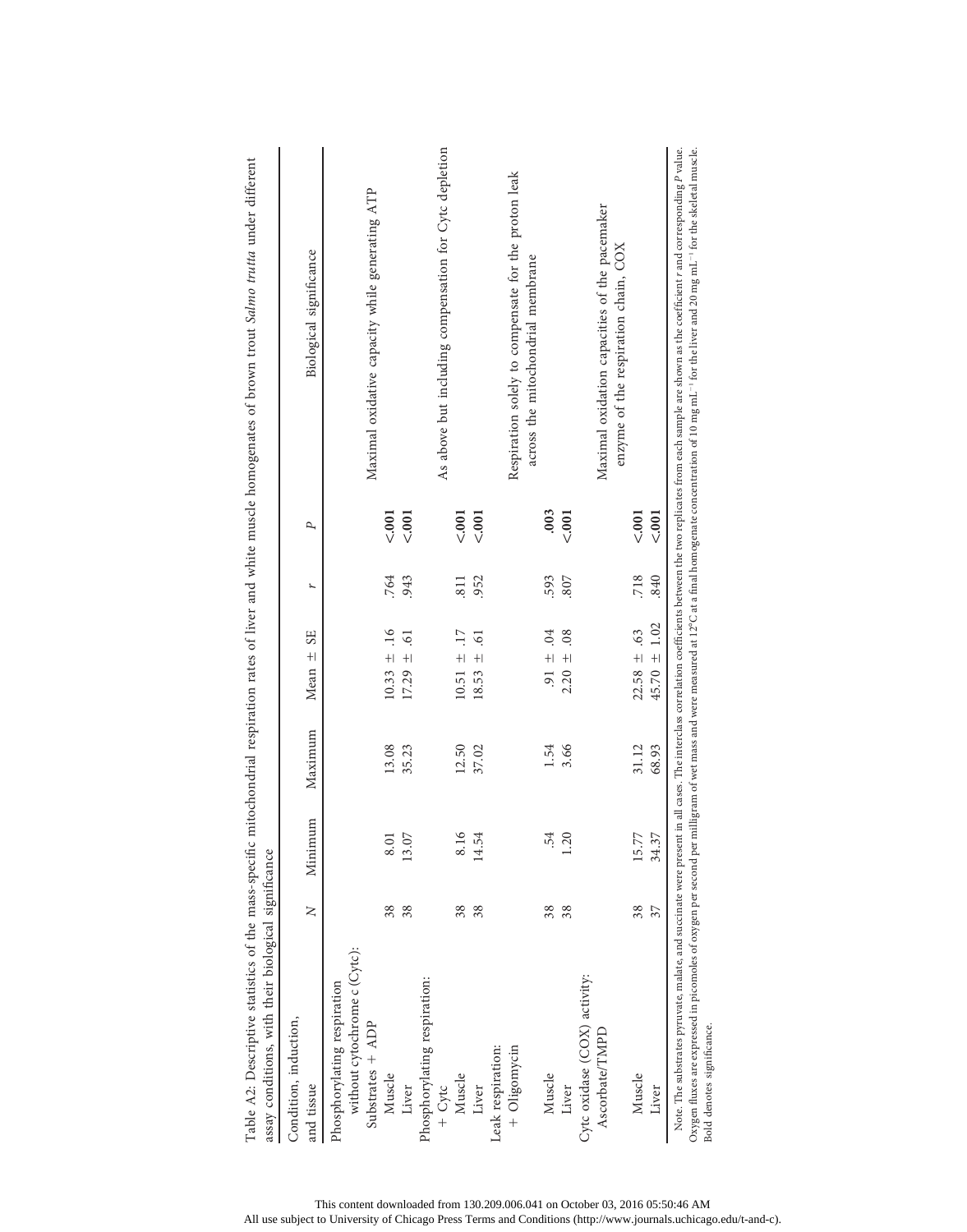| Condition, induction,<br>and tissue | $\geq$ | Minimum | Maximum | <b>SE</b><br>Mean ±                   | r    | P      | Biological significance                                                               |
|-------------------------------------|--------|---------|---------|---------------------------------------|------|--------|---------------------------------------------------------------------------------------|
|                                     |        |         |         |                                       |      |        |                                                                                       |
| Phosphorylating respiration         |        |         |         |                                       |      |        |                                                                                       |
| without cytochrome c (Cytc):        |        |         |         |                                       |      |        |                                                                                       |
| Substrates + ADP                    |        |         |         |                                       |      |        | Maximal oxidative capacity while generating ATP                                       |
| Muscle                              | 38     | 8.01    | 13.08   | .16<br>$\frac{1}{2}$<br>10.33         | .764 | < .001 |                                                                                       |
| Liver                               | 38     | 13.07   | 35.23   | $\overline{6}$<br>$\ddot{+}$<br>17.29 | 943  | < .001 |                                                                                       |
| Phosphorylating respiration:        |        |         |         |                                       |      |        |                                                                                       |
| $+$ Cytc                            |        |         |         |                                       |      |        | As above but including compensation for Cytc depletion                                |
| Muscle                              | 38     | 8.16    | 12.50   | $\overline{17}$<br>$+1$<br>10.51      | 811  | < .001 |                                                                                       |
| Liver                               | 38     | 14.54   | 37.02   | $\overline{6}$<br>$\pm$<br>18.53      | 952  | < .001 |                                                                                       |
| Leak respiration:                   |        |         |         |                                       |      |        |                                                                                       |
| + Oligomycin                        |        |         |         |                                       |      |        | Respiration solely to compensate for the proton leak                                  |
|                                     |        |         |         |                                       |      |        | across the mitochondrial membrane                                                     |
| Muscle                              | 38     | .54     | 1.54    | 04<br>$\ddot{+}$<br>$\overline{5}$    | 593  | .003   |                                                                                       |
| Liver                               | 38     | 1.20    | 3.66    | 08<br>$\ddot{+}$<br>2.20              | 807  | < .001 |                                                                                       |
| Cytc oxidase (COX) activity:        |        |         |         |                                       |      |        |                                                                                       |
| Ascorbate/TMPD                      |        |         |         |                                       |      |        | Maximal oxidation capacities of the pacemaker<br>enzyme of the respiration chain, COX |
| Muscle                              | 38     | 15.77   | 31.12   | 63<br>$22.58 \pm$                     | 718  | < .001 |                                                                                       |
| Liver                               | 37     | 34.37   | 68.93   | ±1.02<br>45.70                        | .840 | < 0.01 |                                                                                       |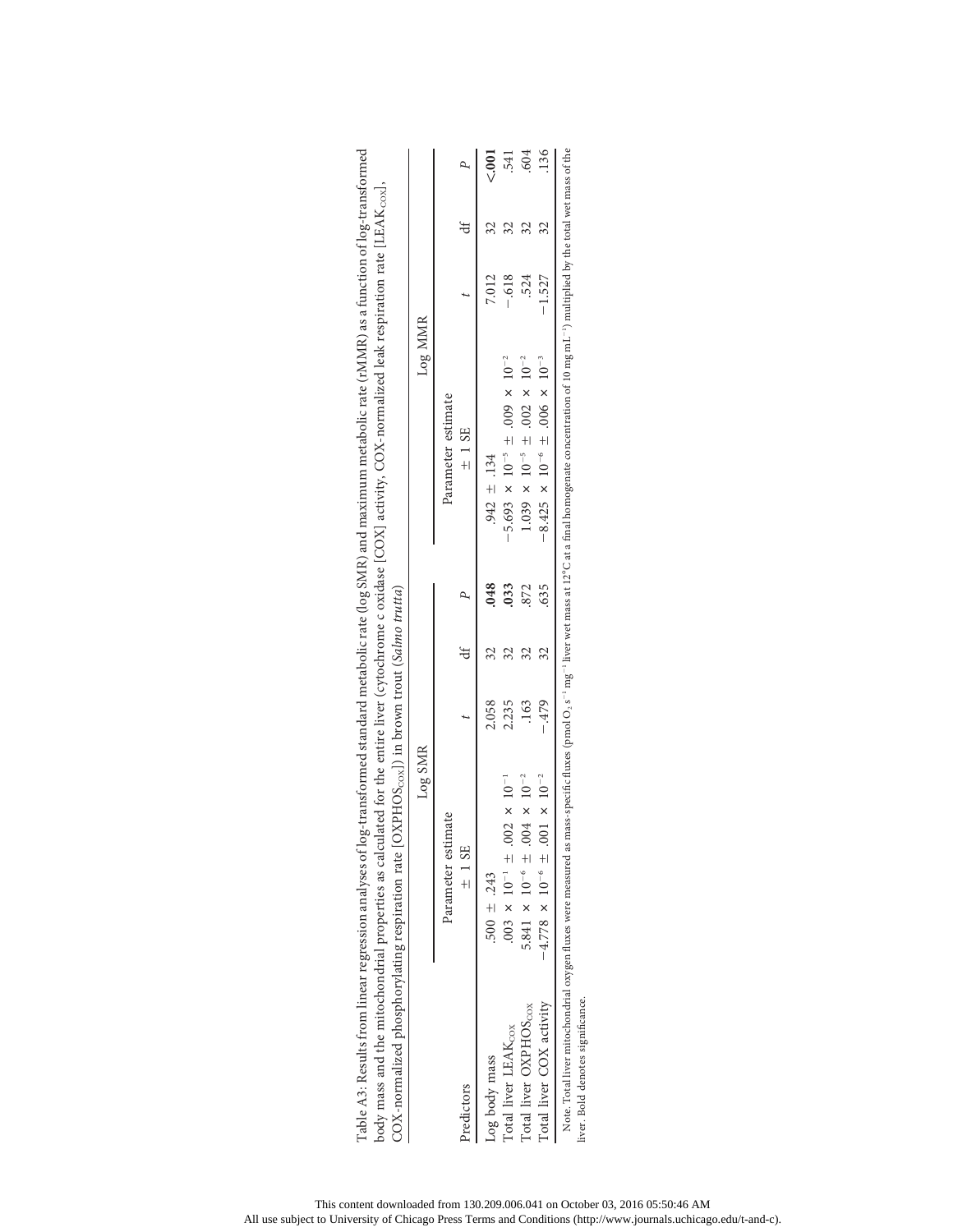|                                   | Log SMR                                                                                                                                                                                                                                                       |        |    |      | Log MMR                                                         |          |    |     |
|-----------------------------------|---------------------------------------------------------------------------------------------------------------------------------------------------------------------------------------------------------------------------------------------------------------|--------|----|------|-----------------------------------------------------------------|----------|----|-----|
|                                   | Parameter estimate                                                                                                                                                                                                                                            |        |    |      | Parameter estimate                                              |          |    |     |
| Predictors                        | $±$ 1 SE                                                                                                                                                                                                                                                      |        |    |      | $±$ 1 SE                                                        |          |    |     |
| Log body mass                     | $.500 \pm .243$                                                                                                                                                                                                                                               | 2.058  |    | .048 | $.942 \pm .134$                                                 | 7.012    |    |     |
| Total liver LEAK <sub>cox</sub>   | $10^{-1}$<br>$.003 \times 10^{-1} \pm .002 \times$                                                                                                                                                                                                            | 2.235  |    | .033 | 5.693 $\times$ 10 <sup>-5</sup> ± 009 $\times$ 10 <sup>-2</sup> | $-.618$  |    | 541 |
| Total liver OXPHOS <sub>cox</sub> | $10^{-2}$<br>$\times$<br>5.841 $\times$ 10 <sup>-6</sup> $\pm$ 004                                                                                                                                                                                            | .163   | 32 | .872 | $1.039 \times 10^{-5} \pm .002 \times 10^{-2}$                  | 524      |    | 604 |
| Total liver COX activity          | $-4.778 \times 10^{-6} \pm .001 \times 10^{-2}$                                                                                                                                                                                                               | $-479$ | 32 | .635 | $-8.425 \times 10^{-6} \pm .006 \times 10^{-3}$                 | $-1.527$ | 32 | 136 |
| liver. Bold denotes significance. | Note. Total liver mitochondrial oxygen fluxes were measured as mass-specific fluxes (pmol O <sub>2.8</sub> -1 mg <sup>-1</sup> liver wet mass at 12°C at a final homogenate concentration of 10 mg mL <sup>-1</sup> ) multiplied by the total wet mass of the |        |    |      |                                                                 |          |    |     |

| standard metabolic rate (log SMR) and maximum metabolic rate (rMMR) as a function of log-transforme. | d for the entire liver (cytochrome c oxidase [COX] activity, COX-normalized leak respiration rate [LEAK $_{\rm cool}$ , | $HOS_{\text{cox}}$ ]) in brown trout (Salmo trutta) |  |
|------------------------------------------------------------------------------------------------------|-------------------------------------------------------------------------------------------------------------------------|-----------------------------------------------------|--|
| anstormed s                                                                                          | ILLUIEU SE SULLAULL                                                                                                     | $\sim$                                              |  |
| con analyses o                                                                                       | ody mass and the mitochondrial pro                                                                                      | V mormalizad nhoenhormatine                         |  |
|                                                                                                      |                                                                                                                         |                                                     |  |

This content downloaded from 130.209.006.041 on October 03, 2016 05:50:46 AM All use subject to University of Chicago Press Terms and Conditions (http://www.journals.uchicago.edu/t-and-c).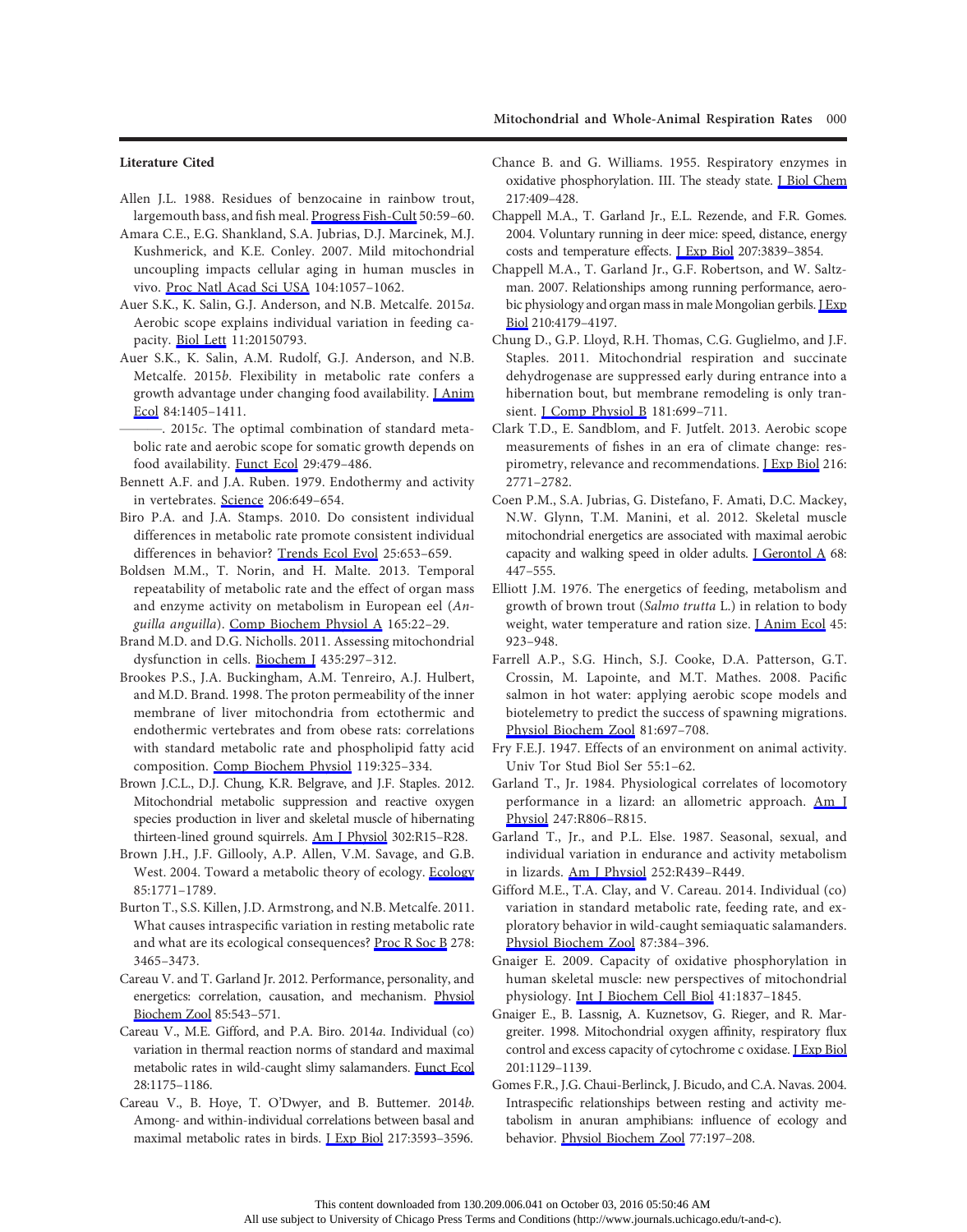# Literature Cited

- Allen J.L. 1988. Residues of benzocaine in rainbow trout, largemouth bass, and fish meal. [Progress Fish-Cult](http://www.journals.uchicago.edu/action/showLinks?crossref=10.1577%2F1548-8640%281988%29050%3C0059%3AROBIRT%3E2.3.CO%3B2) 50:59–60.
- Amara C.E., E.G. Shankland, S.A. Jubrias, D.J. Marcinek, M.J. Kushmerick, and K.E. Conley. 2007. Mild mitochondrial uncoupling impacts cellular aging in human muscles in vivo. [Proc Natl Acad Sci USA](http://www.journals.uchicago.edu/action/showLinks?pmid=17215370&crossref=10.1073%2Fpnas.0610131104) 104:1057–1062.
- Auer S.K., K. Salin, G.J. Anderson, and N.B. Metcalfe. 2015a. Aerobic scope explains individual variation in feeding capacity. [Biol Lett](http://www.journals.uchicago.edu/action/showLinks?pmid=26556902&crossref=10.1098%2Frsbl.2015.0793) 11:20150793.
- Auer S.K., K. Salin, A.M. Rudolf, G.J. Anderson, and N.B. Metcalfe. 2015b. Flexibility in metabolic rate confers a growth advantage under changing food availability. LAnim [Ecol](http://www.journals.uchicago.edu/action/showLinks?pmid=25939669&crossref=10.1111%2F1365-2656.12384) 84:1405–1411.
- $-$ . 2015 $c$ . The optimal combination of standard metabolic rate and aerobic scope for somatic growth depends on food availability. [Funct Ecol](http://www.journals.uchicago.edu/action/showLinks?crossref=10.1111%2F1365-2435.12396) 29:479–486.
- Bennett A.F. and J.A. Ruben. 1979. Endothermy and activity in vertebrates. [Science](http://www.journals.uchicago.edu/action/showLinks?pmid=493968&crossref=10.1126%2Fscience.493968) 206:649–654.
- Biro P.A. and J.A. Stamps. 2010. Do consistent individual differences in metabolic rate promote consistent individual differences in behavior? [Trends Ecol Evol](http://www.journals.uchicago.edu/action/showLinks?pmid=20832898&crossref=10.1016%2Fj.tree.2010.08.003) 25:653–659.
- Boldsen M.M., T. Norin, and H. Malte. 2013. Temporal repeatability of metabolic rate and the effect of organ mass and enzyme activity on metabolism in European eel (Anguilla anguilla). [Comp Biochem Physiol A](http://www.journals.uchicago.edu/action/showLinks?pmid=23388212&crossref=10.1016%2Fj.cbpa.2013.01.027) 165:22–29.
- Brand M.D. and D.G. Nicholls. 2011. Assessing mitochondrial dysfunction in cells. [Biochem J](http://www.journals.uchicago.edu/action/showLinks?pmid=21726199&crossref=10.1042%2FBJ20110162) 435:297–312.
- Brookes P.S., J.A. Buckingham, A.M. Tenreiro, A.J. Hulbert, and M.D. Brand. 1998. The proton permeability of the inner membrane of liver mitochondria from ectothermic and endothermic vertebrates and from obese rats: correlations with standard metabolic rate and phospholipid fatty acid composition. [Comp Biochem Physiol](http://www.journals.uchicago.edu/action/showLinks?crossref=10.1016%2FS0305-0491%2897%2900357-X) 119:325–334.
- Brown J.C.L., D.J. Chung, K.R. Belgrave, and J.F. Staples. 2012. Mitochondrial metabolic suppression and reactive oxygen species production in liver and skeletal muscle of hibernating thirteen-lined ground squirrels. [Am J Physiol](http://www.journals.uchicago.edu/action/showLinks?crossref=10.1152%2Fajpcell.00085.2012) 302:R15–R28.
- Brown J.H., J.F. Gillooly, A.P. Allen, V.M. Savage, and G.B. West. 2004. Toward a metabolic theory of ecology. [Ecology](http://www.journals.uchicago.edu/action/showLinks?crossref=10.1890%2F03-9000) 85:1771–1789.
- Burton T., S.S. Killen, J.D. Armstrong, and N.B. Metcalfe. 2011. What causes intraspecific variation in resting metabolic rate and what are its ecological consequences? [Proc R Soc B](http://www.journals.uchicago.edu/action/showLinks?pmid=21957133&crossref=10.1098%2Frspb.2011.1778) 278: 3465–3473.
- Careau V. and T. Garland Jr. 2012. Performance, personality, and energetics: correlation, causation, and mechanism. [Physiol](http://www.journals.uchicago.edu/action/showLinks?system=10.1086%2F666970) [Biochem Zool](http://www.journals.uchicago.edu/action/showLinks?system=10.1086%2F666970) 85:543–571.
- Careau V., M.E. Gifford, and P.A. Biro. 2014a. Individual (co) variation in thermal reaction norms of standard and maximal metabolic rates in wild-caught slimy salamanders. [Funct Ecol](http://www.journals.uchicago.edu/action/showLinks?crossref=10.1111%2F1365-2435.12259) 28:1175–1186.
- Careau V., B. Hoye, T. O'Dwyer, and B. Buttemer. 2014b. Among- and within-individual correlations between basal and maximal metabolic rates in birds. [J Exp Biol](http://www.journals.uchicago.edu/action/showLinks?pmid=25189368&crossref=10.1242%2Fjeb.108704) 217:3593–3596.
- Chance B. and G. Williams. 1955. Respiratory enzymes in oxidative phosphorylation. III. The steady state. [J Biol Chem](http://www.journals.uchicago.edu/action/showLinks?pmid=13271404) 217:409–428.
- Chappell M.A., T. Garland Jr., E.L. Rezende, and F.R. Gomes. 2004. Voluntary running in deer mice: speed, distance, energy costs and temperature effects. [J Exp Biol](http://www.journals.uchicago.edu/action/showLinks?pmid=15472015&crossref=10.1242%2Fjeb.01213) 207:3839–3854.
- Chappell M.A., T. Garland Jr., G.F. Robertson, and W. Saltzman. 2007. Relationships among running performance, aero-bic physiology and organ mass in male Mongolian gerbils. [J Exp](http://www.journals.uchicago.edu/action/showLinks?pmid=18025017&crossref=10.1242%2Fjeb.006163) [Biol](http://www.journals.uchicago.edu/action/showLinks?pmid=18025017&crossref=10.1242%2Fjeb.006163) 210:4179–4197.
- Chung D., G.P. Lloyd, R.H. Thomas, C.G. Guglielmo, and J.F. Staples. 2011. Mitochondrial respiration and succinate dehydrogenase are suppressed early during entrance into a hibernation bout, but membrane remodeling is only transient. <u>I Comp Physiol B</u> 181:699-711.
- Clark T.D., E. Sandblom, and F. Jutfelt. 2013. Aerobic scope measurements of fishes in an era of climate change: respirometry, relevance and recommendations. *LExp Biol* 216: 2771–2782.
- Coen P.M., S.A. Jubrias, G. Distefano, F. Amati, D.C. Mackey, N.W. Glynn, T.M. Manini, et al. 2012. Skeletal muscle mitochondrial energetics are associated with maximal aerobic capacity and walking speed in older adults. *J Gerontol A 68*: 447–555.
- Elliott J.M. 1976. The energetics of feeding, metabolism and growth of brown trout (Salmo trutta L.) in relation to body weight, water temperature and ration size. I Anim Ecol 45: 923–948.
- Farrell A.P., S.G. Hinch, S.J. Cooke, D.A. Patterson, G.T. Crossin, M. Lapointe, and M.T. Mathes. 2008. Pacific salmon in hot water: applying aerobic scope models and biotelemetry to predict the success of spawning migrations. [Physiol Biochem Zool](http://www.journals.uchicago.edu/action/showLinks?system=10.1086%2F592057) 81:697–708.
- Fry F.E.J. 1947. Effects of an environment on animal activity. Univ Tor Stud Biol Ser 55:1–62.
- Garland T., Jr. 1984. Physiological correlates of locomotory performance in a lizard: an allometric approach. [Am J](http://www.journals.uchicago.edu/action/showLinks?pmid=6238543) [Physiol](http://www.journals.uchicago.edu/action/showLinks?pmid=6238543) 247:R806–R815.
- Garland T., Jr., and P.L. Else. 1987. Seasonal, sexual, and individual variation in endurance and activity metabolism in lizards. [Am J Physiol](http://www.journals.uchicago.edu/action/showLinks?pmid=3826408) 252:R439–R449.
- Gifford M.E., T.A. Clay, and V. Careau. 2014. Individual (co) variation in standard metabolic rate, feeding rate, and exploratory behavior in wild-caught semiaquatic salamanders. [Physiol Biochem Zool](http://www.journals.uchicago.edu/action/showLinks?system=10.1086%2F675974) 87:384–396.
- Gnaiger E. 2009. Capacity of oxidative phosphorylation in human skeletal muscle: new perspectives of mitochondrial physiology. [Int J Biochem Cell Biol](http://www.journals.uchicago.edu/action/showLinks?pmid=19467914&crossref=10.1016%2Fj.biocel.2009.03.013) 41:1837–1845.
- Gnaiger E., B. Lassnig, A. Kuznetsov, G. Rieger, and R. Margreiter. 1998. Mitochondrial oxygen affinity, respiratory flux control and excess capacity of cytochrome c oxidase. **I Exp Biol** 201:1129–1139.
- Gomes F.R., J.G. Chaui-Berlinck, J. Bicudo, and C.A. Navas. 2004. Intraspecific relationships between resting and activity metabolism in anuran amphibians: influence of ecology and behavior. [Physiol Biochem Zool](http://www.journals.uchicago.edu/action/showLinks?system=10.1086%2F381471) 77:197–208.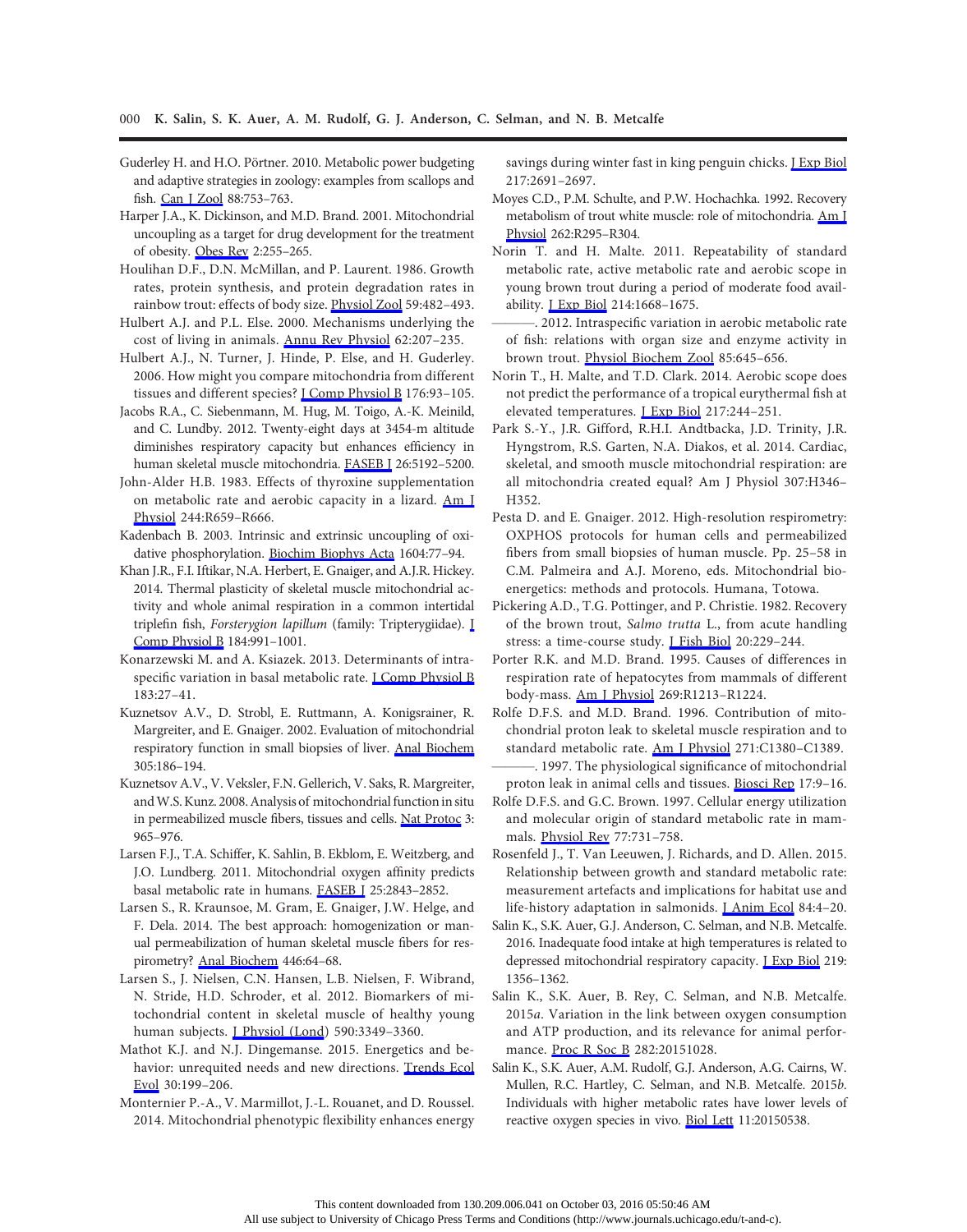- Guderley H. and H.O. Pörtner. 2010. Metabolic power budgeting and adaptive strategies in zoology: examples from scallops and fish. [Can J Zool](http://www.journals.uchicago.edu/action/showLinks?crossref=10.1139%2FZ10-039) 88:753–763.
- Harper J.A., K. Dickinson, and M.D. Brand. 2001. Mitochondrial uncoupling as a target for drug development for the treatment of obesity. [Obes Rev](http://www.journals.uchicago.edu/action/showLinks?pmid=12119996&crossref=10.1046%2Fj.1467-789X.2001.00043.x) 2:255–265.
- Houlihan D.F., D.N. McMillan, and P. Laurent. 1986. Growth rates, protein synthesis, and protein degradation rates in rainbow trout: effects of body size. [Physiol Zool](http://www.journals.uchicago.edu/action/showLinks?system=10.1086%2Fphyszool.59.4.30158601) 59:482–493.
- Hulbert A.J. and P.L. Else. 2000. Mechanisms underlying the cost of living in animals. [Annu Rev Physiol](http://www.journals.uchicago.edu/action/showLinks?pmid=10845090&crossref=10.1146%2Fannurev.physiol.62.1.207) 62:207–235.
- Hulbert A.J., N. Turner, J. Hinde, P. Else, and H. Guderley. 2006. How might you compare mitochondria from different tissues and different species? [J Comp Physiol B](http://www.journals.uchicago.edu/action/showLinks?pmid=16408229&crossref=10.1007%2Fs00360-005-0025-z) 176:93–105.
- Jacobs R.A., C. Siebenmann, M. Hug, M. Toigo, A.-K. Meinild, and C. Lundby. 2012. Twenty-eight days at 3454-m altitude diminishes respiratory capacity but enhances efficiency in human skeletal muscle mitochondria. [FASEB J](http://www.journals.uchicago.edu/action/showLinks?pmid=22968913&crossref=10.1096%2Ffj.12-218206) 26:5192–5200.
- John-Alder H.B. 1983. Effects of thyroxine supplementation on metabolic rate and aerobic capacity in a lizard. [Am J](http://www.journals.uchicago.edu/action/showLinks?pmid=6846574) [Physiol](http://www.journals.uchicago.edu/action/showLinks?pmid=6846574) 244:R659–R666.
- Kadenbach B. 2003. Intrinsic and extrinsic uncoupling of oxidative phosphorylation. [Biochim Biophys Acta](http://www.journals.uchicago.edu/action/showLinks?pmid=12765765&crossref=10.1016%2FS0005-2728%2803%2900027-6) 1604:77–94.
- Khan J.R., F.I. Iftikar, N.A. Herbert, E. Gnaiger, and A.J.R. Hickey. 2014. Thermal plasticity of skeletal muscle mitochondrial activity and whole animal respiration in a common intertidal triplefin fish, Forsterygion lapillum (family: Tripterygiidae). [J](http://www.journals.uchicago.edu/action/showLinks?pmid=25269418&crossref=10.1007%2Fs00360-014-0861-9) [Comp Physiol B](http://www.journals.uchicago.edu/action/showLinks?pmid=25269418&crossref=10.1007%2Fs00360-014-0861-9) 184:991–1001.

Konarzewski M. and A. Ksiazek. 2013. Determinants of intraspecific variation in basal metabolic rate. **I Comp Physiol B** 183:27–41.

- Kuznetsov A.V., D. Strobl, E. Ruttmann, A. Konigsrainer, R. Margreiter, and E. Gnaiger. 2002. Evaluation of mitochondrial respiratory function in small biopsies of liver. [Anal Biochem](http://www.journals.uchicago.edu/action/showLinks?pmid=12054447&crossref=10.1006%2Fabio.2002.5658) 305:186–194.
- Kuznetsov A.V., V. Veksler, F.N. Gellerich, V. Saks, R. Margreiter, and W.S. Kunz. 2008. Analysis of mitochondrial function in situ in permeabilized muscle fibers, tissues and cells. [Nat Protoc](http://www.journals.uchicago.edu/action/showLinks?pmid=18536644&crossref=10.1038%2Fnprot.2008.61) 3: 965–976.
- Larsen F.J., T.A. Schiffer, K. Sahlin, B. Ekblom, E. Weitzberg, and J.O. Lundberg. 2011. Mitochondrial oxygen affinity predicts basal metabolic rate in humans. [FASEB J](http://www.journals.uchicago.edu/action/showLinks?pmid=21576503&crossref=10.1096%2Ffj.11-182139) 25:2843–2852.
- Larsen S., R. Kraunsoe, M. Gram, E. Gnaiger, J.W. Helge, and F. Dela. 2014. The best approach: homogenization or manual permeabilization of human skeletal muscle fibers for respirometry? [Anal Biochem](http://www.journals.uchicago.edu/action/showLinks?pmid=24161612&crossref=10.1016%2Fj.ab.2013.10.023) 446:64–68.
- Larsen S., J. Nielsen, C.N. Hansen, L.B. Nielsen, F. Wibrand, N. Stride, H.D. Schroder, et al. 2012. Biomarkers of mitochondrial content in skeletal muscle of healthy young human subjects. *[Physiol (Lond)* 590:3349-3360.
- Mathot K.J. and N.J. Dingemanse. 2015. Energetics and behavior: unrequited needs and new directions. [Trends Ecol](http://www.journals.uchicago.edu/action/showLinks?pmid=25687159&crossref=10.1016%2Fj.tree.2015.01.010) [Evol](http://www.journals.uchicago.edu/action/showLinks?pmid=25687159&crossref=10.1016%2Fj.tree.2015.01.010) 30:199–206.
- Monternier P.-A., V. Marmillot, J.-L. Rouanet, and D. Roussel. 2014. Mitochondrial phenotypic flexibility enhances energy

savings during winter fast in king penguin chicks. **J Exp Biol** 217:2691–2697.

- Moyes C.D., P.M. Schulte, and P.W. Hochachka. 1992. Recovery metabolism of trout white muscle: role of mitochondria. [Am J](http://www.journals.uchicago.edu/action/showLinks?pmid=1539738) [Physiol](http://www.journals.uchicago.edu/action/showLinks?pmid=1539738) 262:R295–R304.
- Norin T. and H. Malte. 2011. Repeatability of standard metabolic rate, active metabolic rate and aerobic scope in young brown trout during a period of moderate food availability. [J Exp Biol](http://www.journals.uchicago.edu/action/showLinks?pmid=21525312&crossref=10.1242%2Fjeb.054205) 214:1668–1675.
- . 2012. Intraspecific variation in aerobic metabolic rate of fish: relations with organ size and enzyme activity in brown trout. [Physiol Biochem Zool](http://www.journals.uchicago.edu/action/showLinks?system=10.1086%2F665982) 85:645–656.
- Norin T., H. Malte, and T.D. Clark. 2014. Aerobic scope does not predict the performance of a tropical eurythermal fish at elevated temperatures. [J Exp Biol](http://www.journals.uchicago.edu/action/showLinks?pmid=24115064&crossref=10.1242%2Fjeb.089755) 217:244–251.
- Park S.-Y., J.R. Gifford, R.H.I. Andtbacka, J.D. Trinity, J.R. Hyngstrom, R.S. Garten, N.A. Diakos, et al. 2014. Cardiac, skeletal, and smooth muscle mitochondrial respiration: are all mitochondria created equal? Am J Physiol 307:H346– H352.
- Pesta D. and E. Gnaiger. 2012. High-resolution respirometry: OXPHOS protocols for human cells and permeabilized fibers from small biopsies of human muscle. Pp. 25–58 in C.M. Palmeira and A.J. Moreno, eds. Mitochondrial bioenergetics: methods and protocols. Humana, Totowa.
- Pickering A.D., T.G. Pottinger, and P. Christie. 1982. Recovery of the brown trout, Salmo trutta L., from acute handling stress: a time-course study. [J Fish Biol](http://www.journals.uchicago.edu/action/showLinks?crossref=10.1111%2Fj.1095-8649.1982.tb03923.x) 20:229–244.
- Porter R.K. and M.D. Brand. 1995. Causes of differences in respiration rate of hepatocytes from mammals of different body-mass. [Am J Physiol](http://www.journals.uchicago.edu/action/showLinks?pmid=7503313) 269:R1213–R1224.
- Rolfe D.F.S. and M.D. Brand. 1996. Contribution of mitochondrial proton leak to skeletal muscle respiration and to standard metabolic rate. [Am J Physiol](http://www.journals.uchicago.edu/action/showLinks?pmid=8897845) 271:C1380–C1389.
- ———. 1997. The physiological significance of mitochondrial proton leak in animal cells and tissues. [Biosci Rep](http://www.journals.uchicago.edu/action/showLinks?pmid=9171916&crossref=10.1023%2FA%3A1027327015957) 17:9–16.
- Rolfe D.F.S. and G.C. Brown. 1997. Cellular energy utilization and molecular origin of standard metabolic rate in mammals. [Physiol Rev](http://www.journals.uchicago.edu/action/showLinks?pmid=9234964) 77:731–758.
- Rosenfeld J., T. Van Leeuwen, J. Richards, and D. Allen. 2015. Relationship between growth and standard metabolic rate: measurement artefacts and implications for habitat use and life-history adaptation in salmonids. *[Anim Ecol 84:4-20.*
- Salin K., S.K. Auer, G.J. Anderson, C. Selman, and N.B. Metcalfe. 2016. Inadequate food intake at high temperatures is related to depressed mitochondrial respiratory capacity. *LExp Biol* 219: 1356–1362.
- Salin K., S.K. Auer, B. Rey, C. Selman, and N.B. Metcalfe. 2015a. Variation in the link between oxygen consumption and ATP production, and its relevance for animal performance. [Proc R Soc B](http://www.journals.uchicago.edu/action/showLinks?pmid=26203001&crossref=10.1098%2Frspb.2015.1028) 282:20151028.
- Salin K., S.K. Auer, A.M. Rudolf, G.J. Anderson, A.G. Cairns, W. Mullen, R.C. Hartley, C. Selman, and N.B. Metcalfe. 2015b. Individuals with higher metabolic rates have lower levels of reactive oxygen species in vivo. [Biol Lett](http://www.journals.uchicago.edu/action/showLinks?pmid=26382073&crossref=10.1098%2Frsbl.2015.0538) 11:20150538.